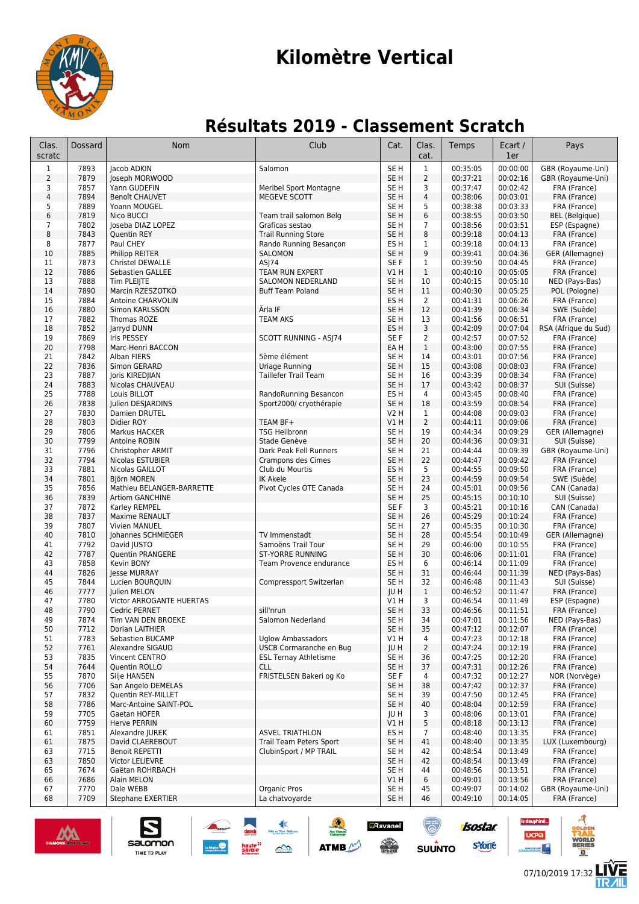

# **Kilomètre Vertical**

## **Résultats 2019 - Classement Scratch**

| Clas.<br>scratc | Dossard      | <b>Nom</b>                               | Club                                       | Cat.                    | Clas.<br>cat.           | Temps                | Ecart /<br>1er       | Pays                                   |
|-----------------|--------------|------------------------------------------|--------------------------------------------|-------------------------|-------------------------|----------------------|----------------------|----------------------------------------|
| $\mathbf{1}$    | 7893         | Jacob ADKIN                              | Salomon                                    | SE <sub>H</sub>         | $\mathbf{1}$            | 00:35:05             | 00:00:00             | GBR (Royaume-Uni)                      |
| $\overline{2}$  | 7879         | Joseph MORWOOD                           |                                            | SE H                    | $\overline{2}$          | 00:37:21             | 00:02:16             | GBR (Royaume-Uni)                      |
| 3               | 7857         | Yann GUDEFIN                             | Meribel Sport Montagne                     | SE H                    | 3                       | 00:37:47             | 00:02:42             | FRA (France)                           |
| 4               | 7894         | <b>Benoît CHAUVET</b>                    | MEGEVE SCOTT                               | SE <sub>H</sub>         | $\overline{\mathbf{4}}$ | 00:38:06             | 00:03:01             | FRA (France)                           |
| 5               | 7889         | Yoann MOUGEL                             |                                            | SE H                    | 5                       | 00:38:38             | 00:03:33             | FRA (France)                           |
| 6<br>7          | 7819<br>7802 | Nico BUCCI<br>Joseba DIAZ LOPEZ          | Team trail salomon Belg<br>Graficas sestao | SE <sub>H</sub><br>SE H | 6<br>7                  | 00:38:55<br>00:38:56 | 00:03:50<br>00:03:51 | <b>BEL</b> (Belgique)<br>ESP (Espagne) |
| 8               | 7843         | <b>Quentin REY</b>                       | <b>Trail Running Store</b>                 | SE <sub>H</sub>         | 8                       | 00:39:18             | 00:04:13             | FRA (France)                           |
| 8               | 7877         | Paul CHEY                                | Rando Running Besancon                     | ES H                    | 1                       | 00:39:18             | 00:04:13             | FRA (France)                           |
| 10              | 7885         | Philipp REITER                           | SALOMON                                    | SE <sub>H</sub>         | 9                       | 00:39:41             | 00:04:36             | GER (Allemagne)                        |
| 11              | 7873         | <b>Christel DEWALLE</b>                  | ASJ74                                      | SE F                    | $\mathbf{1}$            | 00:39:50             | 00:04:45             | FRA (France)                           |
| 12              | 7886         | Sebastien GALLEE                         | TEAM RUN EXPERT                            | V1 H                    | $\mathbf{1}$            | 00:40:10             | 00:05:05             | FRA (France)                           |
| 13              | 7888         | Tim PLEIJTE                              | <b>SALOMON NEDERLAND</b>                   | SE H                    | 10                      | 00:40:15             | 00:05:10             | NED (Pays-Bas)                         |
| 14              | 7890         | Marcin RZESZOTKO                         | <b>Buff Team Poland</b>                    | SE <sub>H</sub>         | 11                      | 00:40:30             | 00:05:25             | POL (Pologne)                          |
| 15              | 7884         | Antoine CHARVOLIN                        | Ärla IF                                    | ES H                    | $\overline{2}$          | 00:41:31             | 00:06:26             | FRA (France)                           |
| 16<br>17        | 7880<br>7882 | Simon KARLSSON<br>Thomas ROZE            | <b>TEAM AKS</b>                            | SE <sub>H</sub><br>SE H | 12<br>13                | 00:41:39<br>00:41:56 | 00:06:34<br>00:06:51 | SWE (Suède)<br>FRA (France)            |
| 18              | 7852         | Jarryd DUNN                              |                                            | ES H                    | 3                       | 00:42:09             | 00:07:04             | RSA (Afrique du Sud)                   |
| 19              | 7869         | Iris PESSEY                              | SCOTT RUNNING - ASJ74                      | SE <sub>F</sub>         | 2                       | 00:42:57             | 00:07:52             | FRA (France)                           |
| 20              | 7798         | Marc-Henri BACCON                        |                                            | EA H                    | $\mathbf{1}$            | 00:43:00             | 00:07:55             | FRA (France)                           |
| 21              | 7842         | Alban FIERS                              | 5ème élément                               | SE H                    | 14                      | 00:43:01             | 00:07:56             | FRA (France)                           |
| 22              | 7836         | Simon GERARD                             | Uriage Running                             | SE <sub>H</sub>         | 15                      | 00:43:08             | 00:08:03             | FRA (France)                           |
| 23              | 7887         | Joris KIREDJIAN                          | <b>Taillefer Trail Team</b>                | SE H                    | 16                      | 00:43:39             | 00:08:34             | FRA (France)                           |
| 24              | 7883         | Nicolas CHAUVEAU                         |                                            | SE <sub>H</sub>         | 17                      | 00:43:42             | 00:08:37             | SUI (Suisse)                           |
| 25              | 7788         | Louis BILLOT                             | RandoRunning Besancon                      | ES H                    | 4                       | 00:43:45             | 00:08:40             | FRA (France)                           |
| 26              | 7838         | Julien DESJARDINS                        | Sport2000/ cryothérapie                    | SE <sub>H</sub><br>V2 H | 18<br>$\mathbf{1}$      | 00:43:59<br>00:44:08 | 00:08:54<br>00:09:03 | FRA (France)<br>FRA (France)           |
| 27<br>28        | 7830<br>7803 | Damien DRUTEL<br>Didier ROY              | TEAM BF+                                   | VIH                     | $\overline{2}$          | 00:44:11             | 00:09:06             | FRA (France)                           |
| 29              | 7806         | Markus HACKER                            | <b>TSG Heilbronn</b>                       | SE H                    | 19                      | 00:44:34             | 00:09:29             | GER (Allemagne)                        |
| 30              | 7799         | Antoine ROBIN                            | Stade Genève                               | SE <sub>H</sub>         | 20                      | 00:44:36             | 00:09:31             | SUI (Suisse)                           |
| 31              | 7796         | Christopher ARMIT                        | Dark Peak Fell Runners                     | SE H                    | 21                      | 00:44:44             | 00:09:39             | GBR (Royaume-Uni)                      |
| 32              | 7794         | Nicolas ESTUBIER                         | Crampons des Cimes                         | SE <sub>H</sub>         | 22                      | 00:44:47             | 00:09:42             | FRA (France)                           |
| 33              | 7881         | Nicolas GAILLOT                          | Club du Mourtis                            | ES H                    | 5                       | 00:44:55             | 00:09:50             | FRA (France)                           |
| 34              | 7801         | <b>Björn MOREN</b>                       | <b>IK Akele</b>                            | SE <sub>H</sub>         | 23                      | 00:44:59             | 00:09:54             | SWE (Suède)                            |
| 35              | 7856         | Mathieu BELANGER-BARRETTE                | Pivot Cycles OTE Canada                    | SE H                    | 24                      | 00:45:01             | 00:09:56             | CAN (Canada)                           |
| 36<br>37        | 7839<br>7872 | <b>Artiom GANCHINE</b>                   |                                            | SE <sub>H</sub><br>SE F | 25<br>3                 | 00:45:15<br>00:45:21 | 00:10:10<br>00:10:16 | SUI (Suisse)                           |
| 38              | 7837         | Karley REMPEL<br>Maxime RENAULT          |                                            | SE <sub>H</sub>         | 26                      | 00:45:29             | 00:10:24             | CAN (Canada)<br>FRA (France)           |
| 39              | 7807         | Vivien MANUEL                            |                                            | SE H                    | 27                      | 00:45:35             | 00:10:30             | FRA (France)                           |
| 40              | 7810         | Johannes SCHMIEGER                       | TV Immenstadt                              | SE <sub>H</sub>         | 28                      | 00:45:54             | 00:10:49             | GER (Allemagne)                        |
| 41              | 7792         | David JUSTO                              | Samoëns Trail Tour                         | SE H                    | 29                      | 00:46:00             | 00:10:55             | FRA (France)                           |
| 42              | 7787         | <b>Quentin PRANGERE</b>                  | <b>ST-YORRE RUNNING</b>                    | SE <sub>H</sub>         | 30                      | 00:46:06             | 00:11:01             | FRA (France)                           |
| 43              | 7858         | Kevin BONY                               | Team Provence endurance                    | ES H                    | 6                       | 00:46:14             | 00:11:09             | FRA (France)                           |
| 44              | 7826         | Jesse MURRAY                             |                                            | SE <sub>H</sub>         | 31                      | 00:46:44             | 00:11:39             | NED (Pays-Bas)                         |
| 45              | 7844         | Lucien BOURQUIN                          | Compressport Switzerlan                    | SE H                    | 32                      | 00:46:48             | 00:11:43<br>00:11:47 | SUI (Suisse)<br>FRA (France)           |
| 46<br>47        | 7777<br>7780 | Julien MELON<br>Victor ARROGANTE HUERTAS |                                            | JU H<br>V1H             | $\mathbf{1}$<br>3       | 00:46:52<br>00:46:54 | 00:11:49             | ESP (Espagne)                          |
| 48              | 7790         | Cedric PERNET                            | sill'nrun                                  | SE <sub>H</sub>         | 33                      | 00:46:56             | 00:11:51             | FRA (France)                           |
| 49              | 7874         | Tim VAN DEN BROEKE                       | Salomon Nederland                          | SE H                    | 34                      | 00:47:01             | 00:11:56             | NED (Pays-Bas)                         |
| 50              | 7712         | Dorian LAITHIER                          |                                            | SE <sub>H</sub>         | 35                      | 00:47:12             | 00:12:07             | FRA (France)                           |
| 51              | 7783         | Sebastien BUCAMP                         | <b>Uglow Ambassadors</b>                   | VIH                     | 4                       | 00:47:23             | 00:12:18             | FRA (France)                           |
| 52              | 7761         | Alexandre SIGAUD                         | USCB Cormaranche en Bug                    | JU H                    | $\overline{2}$          | 00:47:24             | 00:12:19             | FRA (France)                           |
| 53              | 7835         | Vincent CENTRO                           | <b>ESL Ternay Athletisme</b>               | SE H                    | 36                      | 00:47:25             | 00:12:20             | FRA (France)                           |
| 54              | 7644         | Quentin ROLLO                            | <b>CLL</b>                                 | SE <sub>H</sub>         | 37                      | 00:47:31             | 00:12:26             | FRA (France)                           |
| 55<br>56        | 7870<br>7706 | Silje HANSEN<br>San Angelo DEMELAS       | FRISTELSEN Bakeri og Ko                    | SE F<br>SE H            | 4<br>38                 | 00:47:32<br>00:47:42 | 00:12:27<br>00:12:37 | NOR (Norvège)<br>FRA (France)          |
| 57              | 7832         | Quentin REY-MILLET                       |                                            | SE H                    | 39                      | 00:47:50             | 00:12:45             | FRA (France)                           |
| 58              | 7786         | Marc-Antoine SAINT-POL                   |                                            | SE <sub>H</sub>         | 40                      | 00:48:04             | 00:12:59             | FRA (France)                           |
| 59              | 7705         | Gaetan HOFER                             |                                            | JU H                    | 3                       | 00:48:06             | 00:13:01             | FRA (France)                           |
| 60              | 7759         | Herve PERRIN                             |                                            | V1H                     | 5                       | 00:48:18             | 00:13:13             | FRA (France)                           |
| 61              | 7851         | Alexandre JUREK                          | <b>ASVEL TRIATHLON</b>                     | ES H                    | $\overline{7}$          | 00:48:40             | 00:13:35             | FRA (France)                           |
| 61              | 7875         | David CLAEREBOUT                         | Trail Team Peters Sport                    | SE H                    | 41                      | 00:48:40             | 00:13:35             | LUX (Luxembourg)                       |
| 63              | 7715         | Benoit REPETTI                           | ClubinSport / MP TRAIL                     | SE H                    | 42                      | 00:48:54             | 00:13:49             | FRA (France)                           |
| 63              | 7850         | Victor LELIEVRE                          |                                            | SE H                    | 42<br>44                | 00:48:54             | 00:13:49             | FRA (France)                           |
| 65<br>66        | 7674<br>7686 | Gaëtan ROHRBACH<br>Alain MELON           |                                            | SE H<br>VIH             | 6                       | 00:48:56<br>00:49:01 | 00:13:51<br>00:13:56 | FRA (France)<br>FRA (France)           |
| 67              | 7770         | Dale WEBB                                | Organic Pros                               | SE H                    | 45                      | 00:49:07             | 00:14:02             | GBR (Royaume-Uni)                      |
| 68              | 7709         | Stephane EXERTIER                        | La chatvoyarde                             | SE H                    | 46                      | 00:49:10             | 00:14:05             | FRA (France)                           |
|                 |              |                                          |                                            |                         |                         |                      |                      |                                        |

haute<sup>::</sup><br>savoie

 $\rightarrow$ 



salomon

TIME TO PLAY

E

**isostar** 

syone

**SUUNTO** 

**a**Ravanel

 $\frac{1}{\sqrt{2}}$ 

**ATMB**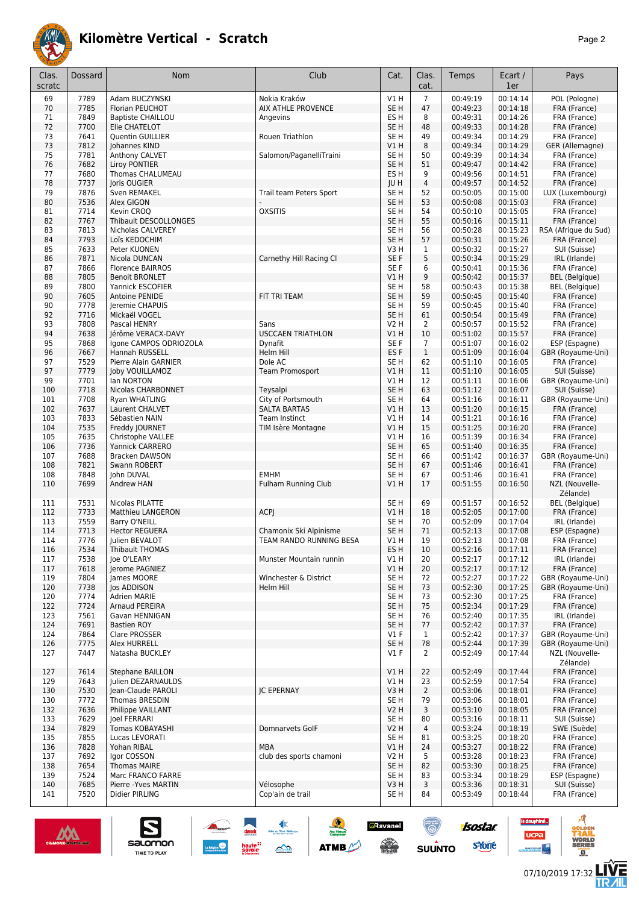

| Clas.<br>scratc | Dossard      | Nom                                      | Club                       | Cat.                               | Clas.<br>cat.  | Temps                | Ecart /<br>1er       | Pays                          |
|-----------------|--------------|------------------------------------------|----------------------------|------------------------------------|----------------|----------------------|----------------------|-------------------------------|
| 69              | 7789         | Adam BUCZYNSKI                           | Nokia Kraków               | V1H                                | $\overline{7}$ | 00:49:19             | 00:14:14             | POL (Pologne)                 |
| 70              | 7785         | Florian PEUCHOT                          | <b>AIX ATHLE PROVENCE</b>  | SE <sub>H</sub>                    | 47             | 00:49:23             | 00:14:18             | FRA (France)                  |
| 71              | 7849         | <b>Baptiste CHAILLOU</b>                 | Angevins                   | ES <sub>H</sub>                    | 8              | 00:49:31             | 00:14:26             | FRA (France)                  |
| 72              | 7700         | Elie CHATELOT                            |                            | SE <sub>H</sub>                    | 48             | 00:49:33             | 00:14:28             | FRA (France)                  |
| 73              | 7641         | <b>Quentin GUILLIER</b>                  | Rouen Triathlon            | SE <sub>H</sub>                    | 49             | 00:49:34             | 00:14:29             | FRA (France)                  |
| 73              | 7812         | Johannes KIND                            |                            | V1H                                | 8              | 00:49:34             | 00:14:29             | GER (Allemagne)               |
| 75              | 7781         | Anthony CALVET                           | Salomon/PaganelliTraini    | SE <sub>H</sub>                    | 50             | 00:49:39             | 00:14:34             | FRA (France)                  |
| 76              | 7682         | Liroy PONTIER                            |                            | SE <sub>H</sub>                    | 51             | 00:49:47             | 00:14:42             | FRA (France)                  |
| 77              | 7680         | Thomas CHALUMEAU                         |                            | ES <sub>H</sub>                    | 9              | 00:49:56             | 00:14:51             | FRA (France)                  |
| 78              | 7737         | Joris OUGIER                             |                            | <b>JUH</b>                         | $\overline{4}$ | 00:49:57             | 00:14:52             | FRA (France)                  |
| 79              | 7876         | Sven REMAKEL                             | Trail team Peters Sport    | SE <sub>H</sub>                    | 52             | 00:50:05             | 00:15:00             | LUX (Luxembourg)              |
| 80              | 7536         | Alex GIGON                               |                            | SE <sub>H</sub>                    | 53             | 00:50:08             | 00:15:03             | FRA (France)                  |
| 81              | 7714         | Kevin CROO                               | <b>OXSITIS</b>             | SE <sub>H</sub>                    | 54             | 00:50:10             | 00:15:05             | FRA (France)                  |
| 82              | 7767         | Thibault DESCOLLONGES                    |                            | SE <sub>H</sub>                    | 55             | 00:50:16             | 00:15:11             | FRA (France)                  |
| 83              | 7813         | Nicholas CALVEREY                        |                            | SE H                               | 56             | 00:50:28             | 00:15:23             | RSA (Afrique du Sud)          |
| 84              | 7793         | Loïs KEDOCHIM                            |                            | SE <sub>H</sub>                    | 57             | 00:50:31             | 00:15:26             | FRA (France)                  |
| 85              | 7633         | Peter KUONEN                             |                            | V3H                                | $\mathbf{1}$   | 00:50:32             | 00:15:27             | SUI (Suisse)                  |
| 86              | 7871         | Nicola DUNCAN                            | Carnethy Hill Racing Cl    | SE <sub>F</sub>                    | 5              | 00:50:34             | 00:15:29             | IRL (Irlande)                 |
| 87              | 7866         | <b>Florence BAIRROS</b>                  |                            | SE <sub>F</sub>                    | 6              | 00:50:41             | 00:15:36             | FRA (France)                  |
| 88              | 7805         | <b>Benoit BRONLET</b>                    |                            | V1H                                | 9              | 00:50:42             | 00:15:37             | <b>BEL</b> (Belgique)         |
| 89              | 7800         | Yannick ESCOFIER                         |                            | SE <sub>H</sub>                    | 58             | 00:50:43             | 00:15:38             | <b>BEL</b> (Belgique)         |
| 90              | 7605         | Antoine PENIDE                           | FIT TRI TEAM               | SE <sub>H</sub>                    | 59             | 00:50:45             | 00:15:40             | FRA (France)                  |
| 90<br>92        | 7778<br>7716 | Jeremie CHAPUIS<br>Mickaël VOGEL         |                            | SE <sub>H</sub><br>SE <sub>H</sub> | 59<br>61       | 00:50:45<br>00:50:54 | 00:15:40<br>00:15:49 | FRA (France)                  |
| 93              | 7808         | Pascal HENRY                             | Sans                       | <b>V2 H</b>                        | $\overline{2}$ | 00:50:57             | 00:15:52             | FRA (France)<br>FRA (France)  |
| 94              | 7638         | Jérôme VERACX-DAVY                       | <b>USCCAEN TRIATHLON</b>   | VIH                                | 10             | 00:51:02             | 00:15:57             | FRA (France)                  |
| 95              | 7868         | Igone CAMPOS ODRIOZOLA                   | Dynafit                    | SE F                               | $\overline{7}$ | 00:51:07             | 00:16:02             | ESP (Espagne)                 |
| 96              | 7667         | Hannah RUSSELL                           | Helm Hill                  | ES <sub>F</sub>                    | $\mathbf{1}$   | 00:51:09             | 00:16:04             | GBR (Royaume-Uni)             |
| 97              | 7529         | Pierre Alain GARNIER                     | Dole AC                    | SE H                               | 62             | 00:51:10             | 00:16:05             | FRA (France)                  |
| 97              | 7779         | Joby VOUILLAMOZ                          | <b>Team Promosport</b>     | VIH                                | 11             | 00:51:10             | 00:16:05             | SUI (Suisse)                  |
| 99              | 7701         | lan NORTON                               |                            | V1H                                | 12             | 00:51:11             | 00:16:06             | GBR (Royaume-Uni)             |
| 100             | 7718         | Nicolas CHARBONNET                       | Teysalpi                   | SE <sub>H</sub>                    | 63             | 00:51:12             | 00:16:07             | SUI (Suisse)                  |
| 101             | 7708         | Ryan WHATLING                            | City of Portsmouth         | SE <sub>H</sub>                    | 64             | 00:51:16             | 00:16:11             | GBR (Royaume-Uni)             |
| 102             | 7637         | Laurent CHALVET                          | <b>SALTA BARTAS</b>        | VIH                                | 13             | 00:51:20             | 00:16:15             | FRA (France)                  |
| 103             | 7833         | Sébastien NAIN                           | Team Instinct              | V1 H                               | 14             | 00:51:21             | 00:16:16             | FRA (France)                  |
| 104             | 7535         | Freddy JOURNET                           | TIM Isère Montagne         | V1H                                | 15             | 00:51:25             | 00:16:20             | FRA (France)                  |
| 105             | 7635         | Christophe VALLEE                        |                            | V1 H                               | 16             | 00:51:39             | 00:16:34             | FRA (France)                  |
| 106             | 7736         | Yannick CARRERO                          |                            | SE <sub>H</sub>                    | 65             | 00:51:40             | 00:16:35             | FRA (France)                  |
| 107             | 7688         | <b>Bracken DAWSON</b>                    |                            | SE <sub>H</sub>                    | 66             | 00:51:42             | 00:16:37             | GBR (Royaume-Uni)             |
| 108             | 7821         | Swann ROBERT                             |                            | SE <sub>H</sub>                    | 67             | 00:51:46             | 00:16:41             | FRA (France)                  |
| 108             | 7848         | John DUVAL                               | <b>EMHM</b>                | SE H                               | 67             | 00:51:46             | 00:16:41             | FRA (France)                  |
| 110             | 7699         | Andrew HAN                               | <b>Fulham Running Club</b> | VIH                                | 17             | 00:51:55             | 00:16:50             | NZL (Nouvelle-<br>Zélande)    |
| 111             | 7531         | Nicolas PILATTE                          |                            | SE <sub>H</sub>                    | 69             | 00:51:57             | 00:16:52             | <b>BEL</b> (Belgique)         |
| 112             | 7733         | Matthieu LANGERON                        | <b>ACPJ</b>                | V1H                                | 18             | 00:52:05             | 00:17:00             | FRA (France)                  |
| 113             | 7559         | Barry O'NEILL                            |                            | SE <sub>H</sub>                    | 70             | 00:52:09             | 00:17:04             | IRL (Irlande)                 |
| 114             | 7713         | <b>Hector REGUERA</b>                    | Chamonix Ski Alpinisme     | SE H                               | 71             | 00:52:13             | 00:17:08             | ESP (Espagne)                 |
| 114             | 7776         | Julien BEVALOT<br>Thibault THOMAS        | TEAM RANDO RUNNING BESA    | V1 H                               | 19<br>10       | 00:52:13<br>00:52:16 | 00:17:08             | FRA (France)                  |
| 116<br>117      | 7534         | Joe O'LEARY                              | Munster Mountain runnin    | ES H<br>V1 H                       | 20             | 00:52:17             | 00:17:11<br>00:17:12 | FRA (France)<br>IRL (Irlande) |
| 117             | 7538<br>7618 | Jerome PAGNIEZ                           |                            | VIH                                | 20             | 00:52:17             | 00:17:12             | FRA (France)                  |
| 119             | 7804         | James MOORE                              | Winchester & District      | SE H                               | 72             | 00:52:27             | 00:17:22             | GBR (Royaume-Uni)             |
| 120             | 7738         | Jos ADDISON                              | Helm Hill                  | SE H                               | 73             | 00:52:30             | 00:17:25             | GBR (Royaume-Uni)             |
| 120             | 7774         | Adrien MARIE                             |                            | SE <sub>H</sub>                    | 73             | 00:52:30             | 00:17:25             | FRA (France)                  |
| 122             | 7724         | Arnaud PEREIRA                           |                            | SE H                               | 75             | 00:52:34             | 00:17:29             | FRA (France)                  |
| 123             | 7561         | Gavan HENNIGAN                           |                            | SE <sub>H</sub>                    | 76             | 00:52:40             | 00:17:35             | IRL (Irlande)                 |
| 124             | 7691         | <b>Bastien ROY</b>                       |                            | SE <sub>H</sub>                    | 77             | 00:52:42             | 00:17:37             | FRA (France)                  |
| 124             | 7864         | Clare PROSSER                            |                            | $VI$ F                             | $\mathbf{1}$   | 00:52:42             | 00:17:37             | GBR (Royaume-Uni)             |
| 126             | 7775         | Alex HURRELL                             |                            | SE <sub>H</sub>                    | 78             | 00:52:44             | 00:17:39             | GBR (Royaume-Uni)             |
| 127             | 7447         | Natasha BUCKLEY                          |                            | $VI$ F                             | $\overline{2}$ | 00:52:49             | 00:17:44             | NZL (Nouvelle-<br>Zélande)    |
| 127             | 7614         | <b>Stephane BAILLON</b>                  |                            | V1 H                               | 22             | 00:52:49             | 00:17:44             | FRA (France)                  |
| 129             | 7643         | Julien DEZARNAULDS                       |                            | V1 H                               | 23             | 00:52:59             | 00:17:54             | FRA (France)                  |
| 130             | 7530         | Jean-Claude PAROLI                       | <b>JC EPERNAY</b>          | V3H                                | $\overline{2}$ | 00:53:06             | 00:18:01             | FRA (France)                  |
| 130             | 7772         | Thomas BRESDIN                           |                            | SE H                               | 79             | 00:53:06             | 00:18:01             | FRA (France)                  |
| 132             | 7636         | Philippe VAILLANT                        |                            | V2 H                               | 3              | 00:53:10             | 00:18:05             | FRA (France)                  |
| 133             | 7629         | Joel FERRARI                             |                            | SE <sub>H</sub>                    | 80             | 00:53:16             | 00:18:11             | SUI (Suisse)                  |
| 134             | 7829         | Tomas KOBAYASHI                          | Domnarvets GolF            | <b>V2 H</b>                        | 4              | 00:53:24             | 00:18:19             | SWE (Suède)                   |
| 135             | 7855         | Lucas LEVORATI                           |                            | SE <sub>H</sub>                    | 81             | 00:53:25             | 00:18:20             | FRA (France)                  |
| 136             | 7828         | Yohan RIBAL                              | <b>MBA</b>                 | V1H                                | 24             | 00:53:27             | 00:18:22             | FRA (France)                  |
| 137             | 7692         | Igor COSSON                              | club des sports chamoni    | V2 H                               | 5              | 00:53:28             | 00:18:23             | FRA (France)                  |
| 138<br>139      | 7654<br>7524 | <b>Thomas MAIRE</b><br>Marc FRANCO FARRE |                            | SE <sub>H</sub><br>SE <sub>H</sub> | 82<br>83       | 00:53:30<br>00:53:34 | 00:18:25<br>00:18:29 | FRA (France)<br>ESP (Espagne) |
| 140             | 7685         | Pierre - Yves MARTIN                     | Vélosophe                  | V3H                                | 3              | 00:53:36             | 00:18:31             | SUI (Suisse)                  |
| 141             | 7520         | Didier PIRLING                           | Cop'ain de trail           | SE <sub>H</sub>                    | 84             | 00:53:49             | 00:18:44             | FRA (France)                  |
|                 |              |                                          |                            |                                    |                |                      |                      |                               |

惠

 $\rightarrow$ 

 $\frac{1}{2}$ 

ATMB

**a**Ravanel

 $\frac{1}{2}$ 

 $\bigcirc$ 

 $su\overset{\bullet}{\mathsf{unro}}$ 



S

satomon

TIME TO PLAY

le dauphiné...

**UCPa** 

*<u>Antibook</u>* 

isostar.

**s**Yone



ه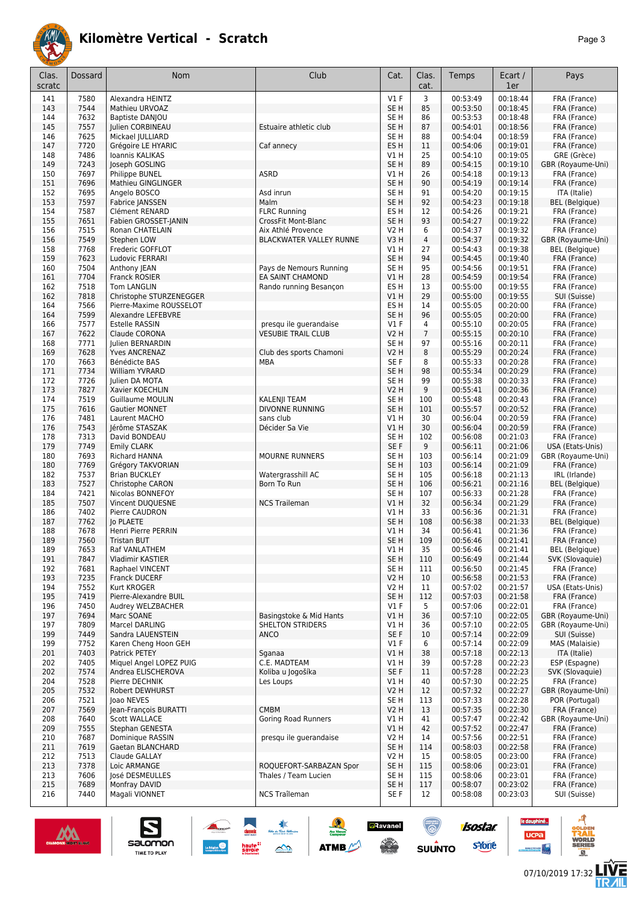

| Clas.<br>scratc | Dossard      | Nom                                                | Club                                          | Cat.                           | Clas.<br>cat.        | Temps                | Ecart /<br>1er       | Pays                                     |
|-----------------|--------------|----------------------------------------------------|-----------------------------------------------|--------------------------------|----------------------|----------------------|----------------------|------------------------------------------|
| 141             | 7580         | Alexandra HEINTZ                                   |                                               | $VI$ F                         | 3                    | 00:53:49             | 00:18:44             | FRA (France)                             |
| 143             | 7544         | Mathieu URVOAZ                                     |                                               | SE <sub>H</sub>                | 85                   | 00:53:50             | 00:18:45             | FRA (France)                             |
| 144             | 7632         | Baptiste DANJOU                                    |                                               | SE <sub>H</sub>                | 86                   | 00:53:53             | 00:18:48             | FRA (France)                             |
| 145             | 7557         | Julien CORBINEAU                                   | Estuaire athletic club                        | SE <sub>H</sub>                | 87                   | 00:54:01             | 00:18:56             | FRA (France)                             |
| 146             | 7625         | Mickael JULLIARD                                   |                                               | SE <sub>H</sub>                | 88                   | 00:54:04             | 00:18:59             | FRA (France)                             |
| 147<br>148      | 7720<br>7486 | Grégoire LE HYARIC<br>Ioannis KALIKAS              | Caf annecy                                    | ES <sub>H</sub><br>V1 H        | 11<br>25             | 00:54:06<br>00:54:10 | 00:19:01<br>00:19:05 | FRA (France)<br>GRE (Grèce)              |
| 149             | 7243         | Joseph GOSLING                                     |                                               | SE <sub>H</sub>                | 89                   | 00:54:15             | 00:19:10             | GBR (Royaume-Uni)                        |
| 150             | 7697         | Philippe BUNEL                                     | ASRD                                          | V1 H                           | 26                   | 00:54:18             | 00:19:13             | FRA (France)                             |
| 151             | 7696         | Mathieu GINGLINGER                                 |                                               | SE <sub>H</sub>                | 90                   | 00:54:19             | 00:19:14             | FRA (France)                             |
| 152             | 7695         | Angelo BOSCO                                       | Asd inrun                                     | SE <sub>H</sub>                | 91                   | 00:54:20             | 00:19:15             | ITA (Italie)                             |
| 153             | 7597         | Fabrice JANSSEN                                    | Malm                                          | SE <sub>H</sub>                | 92                   | 00:54:23             | 00:19:18             | <b>BEL</b> (Belgique)                    |
| 154             | 7587         | Clément RENARD                                     | <b>FLRC Running</b>                           | ES <sub>H</sub>                | 12                   | 00:54:26             | 00:19:21             | FRA (France)                             |
| 155             | 7651         | Fabien GROSSET-JANIN                               | <b>CrossFit Mont-Blanc</b>                    | SE <sub>H</sub>                | 93                   | 00:54:27             | 00:19:22             | FRA (France)                             |
| 156<br>156      | 7515<br>7549 | Ronan CHATELAIN<br>Stephen LOW                     | Aix Athlé Provence<br>BLACKWATER VALLEY RUNNE | V2 H<br>V3H                    | 6<br>$\overline{4}$  | 00:54:37<br>00:54:37 | 00:19:32<br>00:19:32 | FRA (France)<br>GBR (Royaume-Uni)        |
| 158             | 7768         | Frederic GOFFLOT                                   |                                               | V1 H                           | 27                   | 00:54:43             | 00:19:38             | <b>BEL</b> (Belgique)                    |
| 159             | 7623         | Ludovic FERRARI                                    |                                               | SE <sub>H</sub>                | 94                   | 00:54:45             | 00:19:40             | FRA (France)                             |
| 160             | 7504         | Anthony JEAN                                       | Pays de Nemours Running                       | SE H                           | 95                   | 00:54:56             | 00:19:51             | FRA (France)                             |
| 161             | 7704         | Franck ROSIER                                      | EA SAINT CHAMOND                              | VIH                            | 28                   | 00:54:59             | 00:19:54             | FRA (France)                             |
| 162             | 7518         | Tom LANGLIN                                        | Rando running Besançon                        | ES <sub>H</sub>                | 13                   | 00:55:00             | 00:19:55             | FRA (France)                             |
| 162             | 7818         | Christophe STURZENEGGER                            |                                               | <b>V1 H</b>                    | 29                   | 00:55:00             | 00:19:55             | SUI (Suisse)                             |
| 164             | 7566         | Pierre-Maxime ROUSSELOT                            |                                               | ES <sub>H</sub>                | 14                   | 00:55:05             | 00:20:00             | FRA (France)                             |
| 164<br>166      | 7599<br>7577 | <b>Alexandre LEFEBVRE</b><br><b>Estelle RASSIN</b> | presqu ile querandaise                        | SE <sub>H</sub><br><b>V1 F</b> | 96<br>$\overline{4}$ | 00:55:05<br>00:55:10 | 00:20:00<br>00:20:05 | FRA (France)<br>FRA (France)             |
| 167             | 7622         | Claude CORONA                                      | <b>VESUBIE TRAIL CLUB</b>                     | <b>V2 H</b>                    | $\overline{7}$       | 00:55:15             | 00:20:10             | FRA (France)                             |
| 168             | 7771         | Julien BERNARDIN                                   |                                               | SE <sub>H</sub>                | 97                   | 00:55:16             | 00:20:11             | FRA (France)                             |
| 169             | 7628         | <b>Yves ANCRENAZ</b>                               | Club des sports Chamoni                       | <b>V2 H</b>                    | 8                    | 00:55:29             | 00:20:24             | FRA (France)                             |
| 170             | 7663         | Bénédicte BAS                                      | MBA                                           | SE <sub>F</sub>                | 8                    | 00:55:33             | 00:20:28             | FRA (France)                             |
| 171             | 7734         | William YVRARD                                     |                                               | SE <sub>H</sub>                | 98                   | 00:55:34             | 00:20:29             | FRA (France)                             |
| 172             | 7726         | Julien DA MOTA                                     |                                               | SE H                           | 99                   | 00:55:38             | 00:20:33             | FRA (France)                             |
| 173             | 7827         | Xavier KOECHLIN                                    |                                               | <b>V2 H</b>                    | 9                    | 00:55:41             | 00:20:36             | FRA (France)                             |
| 174<br>175      | 7519<br>7616 | <b>Guillaume MOULIN</b><br><b>Gautier MONNET</b>   | KALENJI TEAM<br><b>DIVONNE RUNNING</b>        | SE H<br>SE <sub>H</sub>        | 100<br>101           | 00:55:48<br>00:55:57 | 00:20:43<br>00:20:52 | FRA (France)<br>FRA (France)             |
| 176             | 7481         | Laurent MACHO                                      | sans club                                     | V1H                            | 30                   | 00:56:04             | 00:20:59             | FRA (France)                             |
| 176             | 7543         | Jérôme STASZAK                                     | Décider Sa Vie                                | V1H                            | 30                   | 00:56:04             | 00:20:59             | FRA (France)                             |
| 178             | 7313         | David BONDEAU                                      |                                               | SE <sub>H</sub>                | 102                  | 00:56:08             | 00:21:03             | FRA (France)                             |
| 179             | 7749         | <b>Emily CLARK</b>                                 |                                               | SE F                           | 9                    | 00:56:11             | 00:21:06             | USA (Etats-Unis)                         |
| 180             | 7693         | Richard HANNA                                      | MOURNE RUNNERS                                | SE <sub>H</sub>                | 103                  | 00:56:14             | 00:21:09             | GBR (Royaume-Uni)                        |
| 180             | 7769         | Grégory TAKVORIAN                                  |                                               | SE <sub>H</sub>                | 103                  | 00:56:14             | 00:21:09             | FRA (France)                             |
| 182             | 7537         | <b>Brian BUCKLEY</b>                               | Watergrasshill AC<br>Born To Run              | SE <sub>H</sub>                | 105                  | 00:56:18<br>00:56:21 | 00:21:13             | IRL (Irlande)                            |
| 183<br>184      | 7527<br>7421 | Christophe CARON<br>Nicolas BONNEFOY               |                                               | SE <sub>H</sub><br>SE H        | 106<br>107           | 00:56:33             | 00:21:16<br>00:21:28 | <b>BEL</b> (Belgique)<br>FRA (France)    |
| 185             | 7507         | Vincent DUQUESNE                                   | <b>NCS Traileman</b>                          | VIH                            | 32                   | 00:56:34             | 00:21:29             | FRA (France)                             |
| 186             | 7402         | Pierre CAUDRON                                     |                                               | V1 H                           | 33                   | 00:56:36             | 00:21:31             | FRA (France)                             |
| 187             | 7762         | <b>Jo PLAETE</b>                                   |                                               | SE <sub>H</sub>                | 108                  | 00:56:38             | 00:21:33             | <b>BEL</b> (Belgique)                    |
| 188             | 7678         | Henri Pierre PERRIN                                |                                               | V1 H                           | 34                   | 00:56:41             | 00:21:36             | FRA (France)                             |
| 189             | 7560         | <b>Tristan BUT</b>                                 |                                               | SE <sub>H</sub>                | 109                  | 00:56:46             | 00:21:41             | FRA (France)                             |
| 189<br>191      | 7653<br>7847 | Raf VANLATHEM<br>Vladimir KASTIER                  |                                               | V1 H<br>SE H                   | 35<br>110            | 00:56:46<br>00:56:49 | 00:21:41<br>00:21:44 | <b>BEL</b> (Belgique)<br>SVK (Slovaquie) |
| 192             | 7681         | Raphael VINCENT                                    |                                               | SE <sub>H</sub>                | 111                  | 00:56:50             | 00:21:45             | FRA (France)                             |
| 193             | 7235         | <b>Franck DUCERF</b>                               |                                               | <b>V2 H</b>                    | 10                   | 00:56:58             | 00:21:53             | FRA (France)                             |
| 194             | 7552         | Kurt KROGER                                        |                                               | V2 H                           | 11                   | 00:57:02             | 00:21:57             | USA (Etats-Unis)                         |
| 195             | 7419         | Pierre-Alexandre BUIL                              |                                               | SE <sub>H</sub>                | 112                  | 00:57:03             | 00:21:58             | FRA (France)                             |
| 196             | 7450         | Audrey WELZBACHER                                  |                                               | $VI$ F                         | 5                    | 00:57:06             | 00:22:01             | FRA (France)                             |
| 197             | 7694         | Marc SOANE                                         | Basingstoke & Mid Hants                       | V1H                            | 36                   | 00:57:10             | 00:22:05             | GBR (Royaume-Uni)                        |
| 197<br>199      | 7809<br>7449 | Marcel DARLING<br>Sandra LAUENSTEIN                | <b>SHELTON STRIDERS</b><br>ANCO               | V1 H<br>SE F                   | 36<br>10             | 00:57:10<br>00:57:14 | 00:22:05<br>00:22:09 | GBR (Royaume-Uni)<br>SUI (Suisse)        |
| 199             | 7752         | Karen Cheng Hoon GEH                               |                                               | $VI$ F                         | 6                    | 00:57:14             | 00:22:09             | MAS (Malaisie)                           |
| 201             | 7403         | Patrick PETEY                                      | Sganaa                                        | V1H                            | 38                   | 00:57:18             | 00:22:13             | ITA (Italie)                             |
| 202             | 7405         | Miguel Angel LOPEZ PUIG                            | C.E. MADTEAM                                  | V1 H                           | 39                   | 00:57:28             | 00:22:23             | ESP (Espagne)                            |
| 202             | 7574         | Andrea ELISCHEROVA                                 | Koliba u Jogošíka                             | SE F                           | 11                   | 00:57:28             | 00:22:23             | SVK (Slovaquie)                          |
| 204             | 7528         | Pierre DECHNIK                                     | Les Loups                                     | V1 H                           | 40                   | 00:57:30             | 00:22:25             | FRA (France)                             |
| 205             | 7532         | Robert DEWHURST                                    |                                               | <b>V2 H</b>                    | 12                   | 00:57:32             | 00:22:27             | GBR (Royaume-Uni)                        |
| 206<br>207      | 7521<br>7569 | Joao NEVES<br>Jean-François BURATTI                | <b>CMBM</b>                                   | SE <sub>H</sub><br>V2 H        | 113<br>13            | 00:57:33<br>00:57:35 | 00:22:28<br>00:22:30 | POR (Portugal)<br>FRA (France)           |
| 208             | 7640         | <b>Scott WALLACE</b>                               | <b>Goring Road Runners</b>                    | V1 H                           | 41                   | 00:57:47             | 00:22:42             | GBR (Royaume-Uni)                        |
| 209             | 7555         | Stephan GENESTA                                    |                                               | VIH                            | 42                   | 00:57:52             | 00:22:47             | FRA (France)                             |
| 210             | 7687         | Dominique RASSIN                                   | presqu ile guerandaise                        | V <sub>2</sub> H               | 14                   | 00:57:56             | 00:22:51             | FRA (France)                             |
| 211             | 7619         | Gaetan BLANCHARD                                   |                                               | SE H                           | 114                  | 00:58:03             | 00:22:58             | FRA (France)                             |
| 212             | 7513         | Claude GALLAY                                      |                                               | V2 H                           | 15                   | 00:58:05             | 00:23:00             | FRA (France)                             |
| 213             | 7378         | Loic ARMANGE                                       | ROQUEFORT-SARBAZAN Spor                       | SE <sub>H</sub>                | 115                  | 00:58:06             | 00:23:01             | FRA (France)                             |
| 213<br>215      | 7606<br>7689 | José DESMEULLES<br>Monfray DAVID                   | Thales / Team Lucien                          | SE H<br>SE <sub>H</sub>        | 115<br>117           | 00:58:06<br>00:58:07 | 00:23:01<br>00:23:02 | FRA (France)<br>FRA (France)             |
| 216             | 7440         | Magali VIONNET                                     | NCS Traîleman                                 | SE F                           | 12                   | 00:58:08             | 00:23:03             | SUI (Suisse)                             |
|                 |              |                                                    |                                               |                                |                      |                      |                      |                                          |

惠

 $\rightarrow$ 

 $\frac{1}{2}$ 

**ATMB** 

**a**Ravanel

 $\frac{1}{2}$ 

 $\bigcirc$ 

 $su\overset{\bullet}{\mathsf{unro}}$ 



S

salomon

TIME TO PLAY



**isostar** 

**s**Yone

le dauphiné...

**UCPa** 

- 4



d

 $\overline{a}$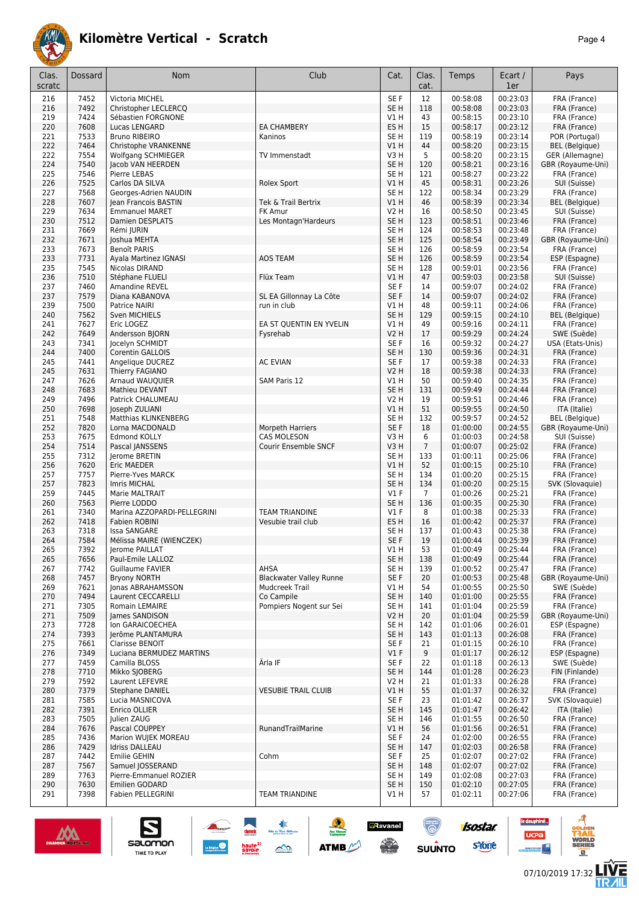

| Clas.<br>scratc | Dossard      | Nom                                               | Club                           | Cat.                               | Clas.<br>cat.  | Temps                | Ecart /<br>1er       | Pays                                     |
|-----------------|--------------|---------------------------------------------------|--------------------------------|------------------------------------|----------------|----------------------|----------------------|------------------------------------------|
| 216             | 7452         | Victoria MICHEL                                   |                                | SE <sub>F</sub>                    | 12             | 00:58:08             | 00:23:03             | FRA (France)                             |
| 216             | 7492         | Christopher LECLERCQ                              |                                | SE <sub>H</sub>                    | 118            | 00:58:08             | 00:23:03             | FRA (France)                             |
| 219             | 7424         | Sébastien FORGNONE                                |                                | V1 H                               | 43             | 00:58:15             | 00:23:10             | FRA (France)                             |
| 220             | 7608         | Lucas LENGARD                                     | <b>EA CHAMBERY</b>             | ES H                               | 15             | 00:58:17             | 00:23:12             | FRA (France)                             |
| 221             | 7533         | <b>Bruno RIBEIRO</b>                              | Kaninos                        | SE <sub>H</sub>                    | 119            | 00:58:19             | 00:23:14             | POR (Portugal)                           |
| 222<br>222      | 7464<br>7554 | Christophe VRANKENNE<br><b>Wolfgang SCHMIEGER</b> | TV Immenstadt                  | VIH<br>V3H                         | 44<br>5        | 00:58:20<br>00:58:20 | 00:23:15<br>00:23:15 | <b>BEL</b> (Belgique)<br>GER (Allemagne) |
| 224             | 7540         | Jacob VAN HEERDEN                                 |                                | SE H                               | 120            | 00:58:21             | 00:23:16             | GBR (Royaume-Uni)                        |
| 225             | 7546         | Pierre LEBAS                                      |                                | SE <sub>H</sub>                    | 121            | 00:58:27             | 00:23:22             | FRA (France)                             |
| 226             | 7525         | Carlos DA SILVA                                   | Rolex Sport                    | V1 H                               | 45             | 00:58:31             | 00:23:26             | SUI (Suisse)                             |
| 227             | 7568         | Georges-Adrien NAUDIN                             |                                | SE <sub>H</sub>                    | 122            | 00:58:34             | 00:23:29             | FRA (France)                             |
| 228             | 7607         | Jean Francois BASTIN                              | Tek & Trail Bertrix            | V1H                                | 46             | 00:58:39             | 00:23:34             | <b>BEL</b> (Belgique)                    |
| 229             | 7634         | <b>Emmanuel MARET</b>                             | FK Amur                        | <b>V2 H</b>                        | 16             | 00:58:50             | 00:23:45             | SUI (Suisse)                             |
| 230             | 7512         | Damien DESPLATS                                   | Les Montagn'Hardeurs           | SE <sub>H</sub>                    | 123            | 00:58:51             | 00:23:46             | FRA (France)                             |
| 231<br>232      | 7669<br>7671 | Rémi JURIN<br>Joshua MEHTA                        |                                | SE <sub>H</sub><br>SE <sub>H</sub> | 124<br>125     | 00:58:53<br>00:58:54 | 00:23:48<br>00:23:49 | FRA (France)<br>GBR (Royaume-Uni)        |
| 233             | 7673         | Benoît PARIS                                      |                                | SE <sub>H</sub>                    | 126            | 00:58:59             | 00:23:54             | FRA (France)                             |
| 233             | 7731         | Ayala Martinez IGNASI                             | <b>AOS TEAM</b>                | SE <sub>H</sub>                    | 126            | 00:58:59             | 00:23:54             | ESP (Espagne)                            |
| 235             | 7545         | Nicolas DIRAND                                    |                                | SE <sub>H</sub>                    | 128            | 00:59:01             | 00:23:56             | FRA (France)                             |
| 236             | 7510         | Stéphane FLUELI                                   | Flüx Team                      | V1H                                | 47             | 00:59:03             | 00:23:58             | SUI (Suisse)                             |
| 237             | 7460         | Amandine REVEL                                    |                                | SE F                               | 14             | 00:59:07             | 00:24:02             | FRA (France)                             |
| 237             | 7579         | Diana KABANOVA                                    | SL EA Gillonnay La Côte        | SE F                               | 14             | 00:59:07             | 00:24:02             | FRA (France)                             |
| 239<br>240      | 7500<br>7562 | Patrice NAIRI                                     | run in club                    | V1 H<br>SE <sub>H</sub>            | 48<br>129      | 00:59:11<br>00:59:15 | 00:24:06<br>00:24:10 | FRA (France)<br><b>BEL</b> (Belgique)    |
| 241             | 7627         | Sven MICHIELS<br>Eric LOGEZ                       | EA ST QUENTIN EN YVELIN        | V1 H                               | 49             | 00:59:16             | 00:24:11             | FRA (France)                             |
| 242             | 7649         | Andersson BJORN                                   | Fysrehab                       | V <sub>2</sub> H                   | 17             | 00:59:29             | 00:24:24             | SWE (Suède)                              |
| 243             | 7341         | Jocelyn SCHMIDT                                   |                                | SE F                               | 16             | 00:59:32             | 00:24:27             | USA (Etats-Unis)                         |
| 244             | 7400         | <b>Corentin GALLOIS</b>                           |                                | SE <sub>H</sub>                    | 130            | 00:59:36             | 00:24:31             | FRA (France)                             |
| 245             | 7441         | Angelique DUCREZ                                  | <b>AC EVIAN</b>                | SE F                               | 17             | 00:59:38             | 00:24:33             | FRA (France)                             |
| 245             | 7631         | Thierry FAGIANO                                   |                                | <b>V2 H</b>                        | 18             | 00:59:38             | 00:24:33             | FRA (France)                             |
| 247             | 7626         | Arnaud WAUQUIER                                   | <b>SAM Paris 12</b>            | V1 H                               | 50             | 00:59:40             | 00:24:35             | FRA (France)                             |
| 248<br>249      | 7683<br>7496 | Mathieu DEVANT<br>Patrick CHALUMEAU               |                                | SE H<br><b>V2 H</b>                | 131<br>19      | 00:59:49<br>00:59:51 | 00:24:44<br>00:24:46 | FRA (France)                             |
| 250             | 7698         | Joseph ZULIANI                                    |                                | V1H                                | 51             | 00:59:55             | 00:24:50             | FRA (France)<br>ITA (Italie)             |
| 251             | 7548         | Matthias KLINKENBERG                              |                                | SE <sub>H</sub>                    | 132            | 00:59:57             | 00:24:52             | <b>BEL</b> (Belgique)                    |
| 252             | 7820         | Lorna MACDONALD                                   | <b>Morpeth Harriers</b>        | SE F                               | 18             | 01:00:00             | 00:24:55             | GBR (Royaume-Uni)                        |
| 253             | 7675         | <b>Edmond KOLLY</b>                               | <b>CAS MOLESON</b>             | V3H                                | 6              | 01:00:03             | 00:24:58             | SUI (Suisse)                             |
| 254             | 7514         | Pascal JANSSENS                                   | Courir Ensemble SNCF           | V3H                                | $\overline{7}$ | 01:00:07             | 00:25:02             | FRA (France)                             |
| 255             | 7312         | Jerome BRETIN                                     |                                | SE <sub>H</sub>                    | 133            | 01:00:11             | 00:25:06             | FRA (France)                             |
| 256             | 7620<br>7757 | Eric MAEDER                                       |                                | V1H<br>SE <sub>H</sub>             | 52             | 01:00:15             | 00:25:10<br>00:25:15 | FRA (France)                             |
| 257<br>257      | 7823         | Pierre-Yves MARCK<br>Imris MICHAL                 |                                | SE <sub>H</sub>                    | 134<br>134     | 01:00:20<br>01:00:20 | 00:25:15             | FRA (France)<br>SVK (Slovaquie)          |
| 259             | 7445         | Marie MALTRAIT                                    |                                | $VI$ F                             | $\overline{7}$ | 01:00:26             | 00:25:21             | FRA (France)                             |
| 260             | 7563         | Pierre LODDO                                      |                                | SE H                               | 136            | 01:00:35             | 00:25:30             | FRA (France)                             |
| 261             | 7340         | Marina AZZOPARDI-PELLEGRINI                       | <b>TEAM TRIANDINE</b>          | $VI$ F                             | 8              | 01:00:38             | 00:25:33             | FRA (France)                             |
| 262             | 7418         | Fabien ROBINI                                     | Vesubie trail club             | ES <sub>H</sub>                    | 16             | 01:00:42             | 00:25:37             | FRA (France)                             |
| 263             | 7318         | <b>Issa SANGARE</b>                               |                                | SE <sub>H</sub>                    | 137            | 01:00:43             | 00:25:38             | FRA (France)                             |
| 264             | 7584<br>7392 | Mélissa MAIRE (WIENCZEK)                          |                                | SE <sub>F</sub>                    | 19<br>53       | 01:00:44<br>01:00:49 | 00:25:39<br>00:25:44 | FRA (France)                             |
| 265<br>265      | 7656         | Jerome PAILLAT<br>Paul-Emile LALLOZ               |                                | V1 H<br>SE <sub>H</sub>            | 138            | 01:00:49             | 00:25:44             | FRA (France)<br>FRA (France)             |
| 267             | 7742         | Guillaume FAVIER                                  | AHSA                           | SE <sub>H</sub>                    | 139            | 01:00:52             | 00:25:47             | FRA (France)                             |
| 268             | 7457         | <b>Bryony NORTH</b>                               | <b>Blackwater Valley Runne</b> | SE F                               | 20             | 01:00:53             | 00:25:48             | GBR (Royaume-Uni)                        |
| 269             | 7621         | Jonas ABRAHAMSSON                                 | Mudcreek Trail                 | V1 H                               | 54             | 01:00:55             | 00:25:50             | SWE (Suède)                              |
| 270             | 7494         | Laurent CECCARELLI                                | Co Campile                     | SE <sub>H</sub>                    | 140            | 01:01:00             | 00:25:55             | FRA (France)                             |
| 271             | 7305         | Romain LEMAIRE                                    | Pompiers Nogent sur Sei        | SE <sub>H</sub>                    | 141            | 01:01:04             | 00:25:59             | FRA (France)                             |
| 271<br>273      | 7509<br>7728 | James SANDISON<br>Ion GARAICOECHEA                |                                | V2 H<br>SE <sub>H</sub>            | 20<br>142      | 01:01:04<br>01:01:06 | 00:25:59<br>00:26:01 | GBR (Royaume-Uni)<br>ESP (Espagne)       |
| 274             | 7393         | Jerôme PLANTAMURA                                 |                                | SE <sub>H</sub>                    | 143            | 01:01:13             | 00:26:08             | FRA (France)                             |
| 275             | 7661         | Clarisse BENOIT                                   |                                | SE F                               | 21             | 01:01:15             | 00:26:10             | FRA (France)                             |
| 276             | 7349         | Luciana BERMUDEZ MARTINS                          |                                | $VI$ F                             | 9              | 01:01:17             | 00:26:12             | ESP (Espagne)                            |
| 277             | 7459         | Camilla BLOSS                                     | Ärla IF                        | SE F                               | 22             | 01:01:18             | 00:26:13             | SWE (Suède)                              |
| 278             | 7710         | Mikko SJOBERG                                     |                                | SE <sub>H</sub>                    | 144            | 01:01:28             | 00:26:23             | FIN (Finlande)                           |
| 279             | 7592         | Laurent LEFEVRE                                   |                                | V2 H                               | 21             | 01:01:33             | 00:26:28             | FRA (France)                             |
| 280             | 7379         | Stephane DANIEL                                   | <b>VESUBIE TRAIL CLUIB</b>     | V1H<br>SE F                        | 55<br>23       | 01:01:37             | 00:26:32<br>00:26:37 | FRA (France)<br>SVK (Slovaquie)          |
| 281<br>282      | 7585<br>7391 | Lucia MASNICOVA<br>Enrico OLLIER                  |                                | SE H                               | 145            | 01:01:42<br>01:01:47 | 00:26:42             | ITA (Italie)                             |
| 283             | 7505         | Julien ZAUG                                       |                                | SE <sub>H</sub>                    | 146            | 01:01:55             | 00:26:50             | FRA (France)                             |
| 284             | 7676         | Pascal COUPPEY                                    | RunandTrailMarine              | V1 H                               | 56             | 01:01:56             | 00:26:51             | FRA (France)                             |
| 285             | 7436         | Marion WUJEK MOREAU                               |                                | SE F                               | 24             | 01:02:00             | 00:26:55             | FRA (France)                             |
| 286             | 7429         | <b>Idriss DALLEAU</b>                             |                                | SE <sub>H</sub>                    | 147            | 01:02:03             | 00:26:58             | FRA (France)                             |
| 287             | 7442         | Emilie GEHIN                                      | Cohm                           | SE F                               | 25             | 01:02:07             | 00:27:02             | FRA (France)                             |
| 287<br>289      | 7567<br>7763 | Samuel JOSSERAND<br>Pierre-Emmanuel ROZIER        |                                | SE <sub>H</sub><br>SE <sub>H</sub> | 148<br>149     | 01:02:07<br>01:02:08 | 00:27:02<br>00:27:03 | FRA (France)<br>FRA (France)             |
| 290             | 7630         | <b>Emilien GODARD</b>                             |                                | SE <sub>H</sub>                    | 150            | 01:02:10             | 00:27:05             | FRA (France)                             |
| 291             | 7398         | Fabien PELLEGRINI                                 | <b>TEAM TRIANDINE</b>          | V1 H                               | 57             | 01:02:11             | 00:27:06             | FRA (France)                             |
|                 |              |                                                   |                                |                                    |                |                      |                      |                                          |

惠

 $\rightarrow$ 

 $\frac{1}{2}$ 

**ATMB** 

**a**Ravanel

**SENIOR** 

 $\bigcirc$ 

**SUUNTO** 



S

salomon

TIME TO PLAY

le dauphiné...

**UCPa** 

- 4

isostar.

**s**Yone

ه

 $\overline{a}$ 

左<br>加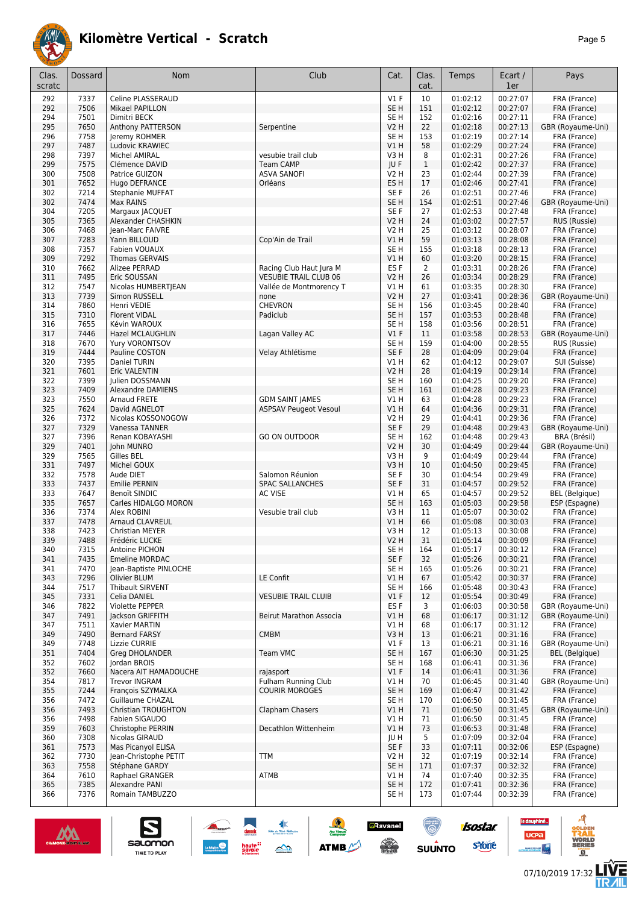

| Clas.<br>scratc | <b>Dossard</b> | Nom                                       | Club                                   | Cat.                    | Clas.<br>cat.    | Temps                | Ecart /<br>1er       | Pays                              |
|-----------------|----------------|-------------------------------------------|----------------------------------------|-------------------------|------------------|----------------------|----------------------|-----------------------------------|
| 292             | 7337           | Celine PLASSERAUD                         |                                        | $VI$ F                  | 10               | 01:02:12             | 00:27:07             | FRA (France)                      |
| 292             | 7506           | Mikael PAPILLON                           |                                        | SE <sub>H</sub>         | 151              | 01:02:12             | 00:27:07             | FRA (France)                      |
| 294             | 7501           | Dimitri BECK                              |                                        | SE <sub>H</sub>         | 152              | 01:02:16             | 00:27:11             | FRA (France)                      |
| 295             | 7650           | Anthony PATTERSON                         | Serpentine                             | <b>V2 H</b>             | 22               | 01:02:18             | 00:27:13             | GBR (Royaume-Uni)                 |
| 296             | 7758           | Jeremy ROHMER                             |                                        | SE H                    | 153              | 01:02:19             | 00:27:14             | FRA (France)                      |
| 297             | 7487           | Ludovic KRAWIEC                           |                                        | VIH                     | 58               | 01:02:29             | 00:27:24             | FRA (France)                      |
| 298<br>299      | 7397<br>7575   | Michel AMIRAL<br>Clémence DAVID           | vesubie trail club<br><b>Team CAMP</b> | V3H<br>JU F             | 8<br>$\mathbf 1$ | 01:02:31<br>01:02:42 | 00:27:26<br>00:27:37 | FRA (France)<br>FRA (France)      |
| 300             | 7508           | Patrice GUIZON                            | <b>ASVA SANOFI</b>                     | <b>V2 H</b>             | 23               | 01:02:44             | 00:27:39             | FRA (France)                      |
| 301             | 7652           | Hugo DEFRANCE                             | Orléans                                | ES H                    | 17               | 01:02:46             | 00:27:41             | FRA (France)                      |
| 302             | 7214           | <b>Stephanie MUFFAT</b>                   |                                        | SE F                    | 26               | 01:02:51             | 00:27:46             | FRA (France)                      |
| 302             | 7474           | Max RAINS                                 |                                        | SE <sub>H</sub>         | 154              | 01:02:51             | 00:27:46             | GBR (Royaume-Uni)                 |
| 304             | 7205           | Margaux JACQUET                           |                                        | SE F                    | 27               | 01:02:53             | 00:27:48             | FRA (France)                      |
| 305             | 7365           | Alexander CHASHKIN                        |                                        | <b>V2 H</b>             | 24               | 01:03:02             | 00:27:57             | RUS (Russie)                      |
| 306             | 7468           | Jean-Marc FAIVRE                          |                                        | V2 H                    | 25               | 01:03:12             | 00:28:07             | FRA (France)                      |
| 307             | 7283<br>7357   | Yann BILLOUD                              | Cop'Ain de Trail                       | V1H                     | 59               | 01:03:13             | 00:28:08<br>00:28:13 | FRA (France)                      |
| 308<br>309      | 7292           | Fabien VOUAUX<br>Thomas GERVAIS           |                                        | SE H<br>VIH             | 155<br>60        | 01:03:18<br>01:03:20 | 00:28:15             | FRA (France)<br>FRA (France)      |
| 310             | 7662           | Alizee PERRAD                             | Racing Club Haut Jura M                | ES F                    | 2                | 01:03:31             | 00:28:26             | FRA (France)                      |
| 311             | 7495           | Eric SOUSSAN                              | <b>VESUBIE TRAIL CLUB 06</b>           | <b>V2 H</b>             | 26               | 01:03:34             | 00:28:29             | FRA (France)                      |
| 312             | 7547           | Nicolas HUMBERTJEAN                       | Vallée de Montmorency T                | V1 H                    | 61               | 01:03:35             | 00:28:30             | FRA (France)                      |
| 313             | 7739           | Simon RUSSELL                             | none                                   | <b>V2 H</b>             | 27               | 01:03:41             | 00:28:36             | GBR (Royaume-Uni)                 |
| 314             | 7860           | Henri VEDIE                               | <b>CHEVRON</b>                         | SE <sub>H</sub>         | 156              | 01:03:45             | 00:28:40             | FRA (France)                      |
| 315             | 7310           | <b>Florent VIDAL</b>                      | Padiclub                               | SE <sub>H</sub>         | 157              | 01:03:53             | 00:28:48             | FRA (France)                      |
| 316             | 7655           | Kévin WAROUX                              |                                        | SE <sub>H</sub>         | 158              | 01:03:56             | 00:28:51             | FRA (France)                      |
| 317             | 7446           | Hazel MCLAUGHLIN                          | Lagan Valley AC                        | V1F                     | 11               | 01:03:58             | 00:28:53             | GBR (Royaume-Uni)                 |
| 318<br>319      | 7670<br>7444   | Yury VORONTSOV<br>Pauline COSTON          |                                        | SE <sub>H</sub><br>SE F | 159<br>28        | 01:04:00             | 00:28:55<br>00:29:04 | RUS (Russie)<br>FRA (France)      |
| 320             | 7395           | Daniel TURIN                              | Velay Athlétisme                       | V1 H                    | 62               | 01:04:09<br>01:04:12 | 00:29:07             | SUI (Suisse)                      |
| 321             | 7601           | Eric VALENTIN                             |                                        | <b>V2 H</b>             | 28               | 01:04:19             | 00:29:14             | FRA (France)                      |
| 322             | 7399           | Julien DOSSMANN                           |                                        | SE H                    | 160              | 01:04:25             | 00:29:20             | FRA (France)                      |
| 323             | 7409           | Alexandre DAMIENS                         |                                        | SE <sub>H</sub>         | 161              | 01:04:28             | 00:29:23             | FRA (France)                      |
| 323             | 7550           | Arnaud FRETE                              | <b>GDM SAINT JAMES</b>                 | V1 H                    | 63               | 01:04:28             | 00:29:23             | FRA (France)                      |
| 325             | 7624           | David AGNELOT                             | <b>ASPSAV Peugeot Vesoul</b>           | V1H                     | 64               | 01:04:36             | 00:29:31             | FRA (France)                      |
| 326             | 7372           | Nicolas KOSSONOGOW                        |                                        | <b>V2 H</b>             | 29               | 01:04:41             | 00:29:36             | FRA (France)                      |
| 327             | 7329           | Vanessa TANNER                            |                                        | SE F                    | 29               | 01:04:48             | 00:29:43             | GBR (Royaume-Uni)                 |
| 327<br>329      | 7396<br>7401   | Renan KOBAYASHI                           | <b>GO ON OUTDOOR</b>                   | SE H                    | 162<br>30        | 01:04:48<br>01:04:49 | 00:29:43<br>00:29:44 | BRA (Brésil)<br>GBR (Royaume-Uni) |
| 329             | 7565           | John MUNRO<br>Gilles BEL                  |                                        | <b>V2 H</b><br>V3H      | 9                | 01:04:49             | 00:29:44             | FRA (France)                      |
| 331             | 7497           | Michel GOUX                               |                                        | V3H                     | 10               | 01:04:50             | 00:29:45             | FRA (France)                      |
| 332             | 7578           | Aude DIET                                 | Salomon Réunion                        | SE F                    | 30               | 01:04:54             | 00:29:49             | FRA (France)                      |
| 333             | 7437           | <b>Emilie PERNIN</b>                      | <b>SPAC SALLANCHES</b>                 | SE F                    | 31               | 01:04:57             | 00:29:52             | FRA (France)                      |
| 333             | 7647           | Benoït SINDIC                             | <b>AC VISE</b>                         | V1 H                    | 65               | 01:04:57             | 00:29:52             | <b>BEL</b> (Belgique)             |
| 335             | 7657           | Carles HIDALGO MORON                      |                                        | SE <sub>H</sub>         | 163              | 01:05:03             | 00:29:58             | ESP (Espagne)                     |
| 336             | 7374           | Alex ROBINI                               | Vesubie trail club                     | V3H                     | 11               | 01:05:07             | 00:30:02             | FRA (France)                      |
| 337<br>338      | 7478<br>7423   | Arnaud CLAVREUL<br><b>Christian MEYER</b> |                                        | VIH                     | 66               | 01:05:08             | 00:30:03             | FRA (France)                      |
| 339             | 7488           | Frédéric LUCKE                            |                                        | V3H<br><b>V2 H</b>      | 12<br>31         | 01:05:13<br>01:05:14 | 00:30:08<br>00:30:09 | FRA (France)<br>FRA (France)      |
| 340             | 7315           | Antoine PICHON                            |                                        | SE H                    | 164              | 01:05:17             | 00:30:12             | FRA (France)                      |
| 341             | 7435           | <b>Emeline MORDAC</b>                     |                                        | SE F                    | 32               | 01:05:26             | 00:30:21             | FRA (France)                      |
| 341             | 7470           | Jean-Baptiste PINLOCHE                    |                                        | SE <sub>H</sub>         | 165              | 01:05:26             | 00:30:21             | FRA (France)                      |
| 343             | 7296           | Olivier BLUM                              | LE Confit                              | VIH                     | 67               | 01:05:42             | 00:30:37             | FRA (France)                      |
| 344             | 7517           | Thibault SIRVENT                          |                                        | SE H                    | 166              | 01:05:48             | 00:30:43             | FRA (France)                      |
| 345             | 7331           | Celia DANIEL                              | <b>VESUBIE TRAIL CLUIB</b>             | $VI$ F                  | 12               | 01:05:54             | 00:30:49             | FRA (France)                      |
| 346             | 7822           | Violette PEPPER                           |                                        | ES F                    | 3                | 01:06:03             | 00:30:58             | GBR (Royaume-Uni)                 |
| 347<br>347      | 7491<br>7511   | Jackson GRIFFITH<br>Xavier MARTIN         | Beirut Marathon Associa                | V1H<br>V1 H             | 68<br>68         | 01:06:17<br>01:06:17 | 00:31:12<br>00:31:12 | GBR (Royaume-Uni)<br>FRA (France) |
| 349             | 7490           | <b>Bernard FARSY</b>                      | <b>CMBM</b>                            | V3H                     | 13               | 01:06:21             | 00:31:16             | FRA (France)                      |
| 349             | 7748           | Lizzie CURRIE                             |                                        | $VI$ F                  | 13               | 01:06:21             | 00:31:16             | GBR (Royaume-Uni)                 |
| 351             | 7404           | <b>Grea DHOLANDER</b>                     | Team VMC                               | SE <sub>H</sub>         | 167              | 01:06:30             | 00:31:25             | <b>BEL</b> (Belgique)             |
| 352             | 7602           | Jordan BROIS                              |                                        | SE H                    | 168              | 01:06:41             | 00:31:36             | FRA (France)                      |
| 352             | 7660           | Nacera AIT HAMADOUCHE                     | rajasport                              | $VI$ F                  | 14               | 01:06:41             | 00:31:36             | FRA (France)                      |
| 354             | 7817           | <b>Trevor INGRAM</b>                      | <b>Fulham Running Club</b>             | V1 H                    | 70               | 01:06:45             | 00:31:40             | GBR (Royaume-Uni)                 |
| 355             | 7244           | François SZYMALKA                         | <b>COURIR MOROGES</b>                  | SE <sub>H</sub>         | 169              | 01:06:47             | 00:31:42             | FRA (France)                      |
| 356             | 7472           | Guillaume CHAZAL                          |                                        | SE H                    | 170              | 01:06:50             | 00:31:45             | FRA (France)                      |
| 356<br>356      | 7493<br>7498   | Christian TROUGHTON<br>Fabien SIGAUDO     | Clapham Chasers                        | VIH<br>V1 H             | 71<br>71         | 01:06:50<br>01:06:50 | 00:31:45<br>00:31:45 | GBR (Royaume-Uni)<br>FRA (France) |
| 359             | 7603           | Christophe PERRIN                         | Decathlon Wittenheim                   | V1H                     | 73               | 01:06:53             | 00:31:48             | FRA (France)                      |
| 360             | 7308           | Nicolas GIRAUD                            |                                        | JU H                    | 5                | 01:07:09             | 00:32:04             | FRA (France)                      |
| 361             | 7573           | Mas Picanyol ELISA                        |                                        | SE F                    | 33               | 01:07:11             | 00:32:06             | ESP (Espagne)                     |
| 362             | 7730           | Jean-Christophe PETIT                     | <b>TTM</b>                             | V2 H                    | 32               | 01:07:19             | 00:32:14             | FRA (France)                      |
| 363             | 7558           | Stéphane GARDY                            |                                        | SE <sub>H</sub>         | 171              | 01:07:37             | 00:32:32             | FRA (France)                      |
| 364             | 7610           | Raphael GRANGER                           | ATMB                                   | V1 H                    | 74               | 01:07:40             | 00:32:35             | FRA (France)                      |
| 365             | 7385           | Alexandre PANI                            |                                        | SE <sub>H</sub>         | 172              | 01:07:41             | 00:32:36             | FRA (France)                      |
| 366             | 7376           | Romain TAMBUZZO                           |                                        | SE <sub>H</sub>         | 173              | 01:07:44             | 00:32:39             | FRA (France)                      |

墊

 $\rightarrow$ 

 $\frac{1}{2}$ 

**ATMB** 

**a**Ravanel

**SERVICE** 

<u>ිල</u>

**SUUNTO** 



S

Salomon

isostar.

**s**Yone

le dauphiné...

**UCPa** 

G

**LIVE<br>TR***A***IL**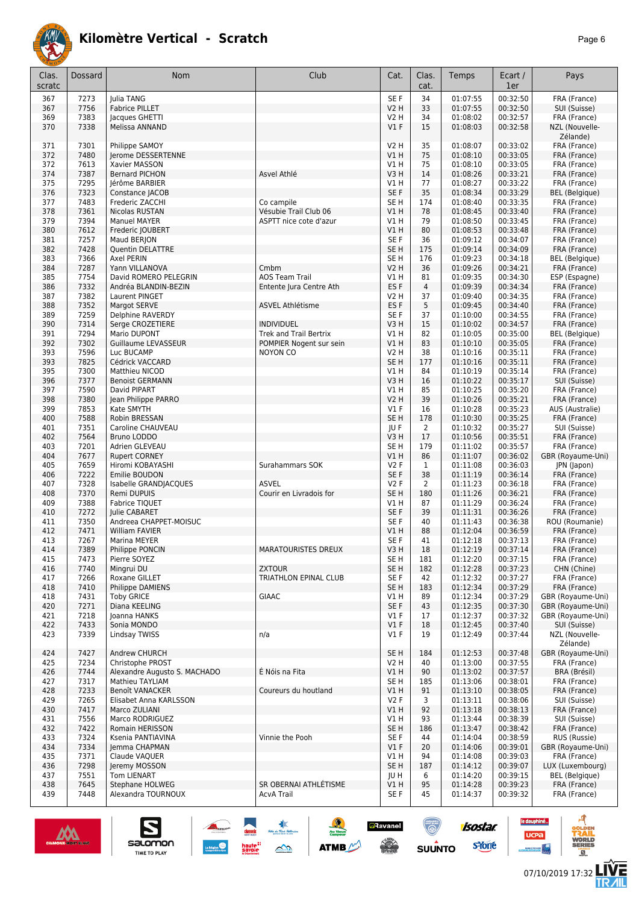

|--|--|

| 34<br>SE F<br>00:32:50<br>FRA (France)<br>367<br>7273<br>Julia TANG<br>01:07:55<br>33<br>00:32:50<br>7756<br><b>V2 H</b><br>01:07:55<br>SUI (Suisse)<br>367<br><b>Fabrice PILLET</b><br>7383<br>34<br>00:32:57<br>369<br>Jacques GHETTI<br><b>V2 H</b><br>01:08:02<br>FRA (France)<br>7338<br>V1F<br>15<br>01:08:03<br>00:32:58<br>370<br>Melissa ANNAND<br>NZL (Nouvelle-<br>Zélande)<br>7301<br><b>V2 H</b><br>35<br>FRA (France)<br>371<br>Philippe SAMOY<br>01:08:07<br>00:33:02<br>7480<br>75<br>372<br>V1H<br>01:08:10<br>00:33:05<br>Jerome DESSERTENNE<br>FRA (France)<br>372<br>7613<br>V1H<br>75<br>01:08:10<br>00:33:05<br>Xavier MASSON<br>FRA (France)<br>7387<br>Asvel Athlé<br>14<br>01:08:26<br>00:33:21<br>374<br><b>Bernard PICHON</b><br>V <sub>3</sub> H<br>FRA (France)<br>7295<br>77<br>01:08:27<br>00:33:22<br>375<br>Jérôme BARBIER<br><b>V1 H</b><br>FRA (France)<br>7323<br>SE F<br>35<br>00:33:29<br>376<br>Constance JACOB<br>01:08:34<br><b>BEL</b> (Belgique)<br>7483<br>SE <sub>H</sub><br>174<br>377<br>Frederic ZACCHI<br>Co campile<br>01:08:40<br>00:33:35<br>FRA (France)<br>7361<br>Vésubie Trail Club 06<br>V1H<br>78<br>00:33:40<br>378<br>Nicolas RUSTAN<br>01:08:45<br>FRA (France)<br>379<br>7394<br>79<br>00:33:45<br>Manuel MAYER<br>ASPTT nice cote d'azur<br><b>V1 H</b><br>01:08:50<br>FRA (France)<br>7612<br>V1H<br>80<br>01:08:53<br>00:33:48<br>380<br>Frederic JOUBERT<br>FRA (France)<br>381<br>7257<br>SE F<br>36<br>01:09:12<br>00:34:07<br>Maud BERJON<br>FRA (France)<br>7428<br>SE <sub>H</sub><br>175<br>01:09:14<br>00:34:09<br>382<br><b>Quentin DELATTRE</b><br>FRA (France)<br>7366<br>SE <sub>H</sub><br>176<br>01:09:23<br>00:34:18<br>383<br>Axel PERIN<br><b>BEL</b> (Belgique)<br>7287<br>Cmbm<br><b>V2 H</b><br>36<br>01:09:26<br>00:34:21<br>384<br>Yann VILLANOVA<br>FRA (France)<br>7754<br>David ROMERO PELEGRIN<br><b>AOS Team Trail</b><br>81<br>01:09:35<br>00:34:30<br>385<br>V1 H<br>ESP (Espagne)<br>7332<br>ES <sub>F</sub><br>$\overline{4}$<br>00:34:34<br>386<br>Andréa BLANDIN-BEZIN<br>Entente Jura Centre Ath<br>01:09:39<br>FRA (France)<br>7382<br><b>V2 H</b><br>37<br>01:09:40<br>00:34:35<br>387<br>Laurent PINGET<br>FRA (France)<br>5<br>7352<br>ES <sub>F</sub><br>00:34:40<br>388<br>Margot SERVE<br><b>ASVEL Athlétisme</b><br>01:09:45<br>FRA (France)<br>7259<br>SE F<br>37<br>389<br>01:10:00<br>00:34:55<br>FRA (France)<br>Delphine RAVERDY<br>7314<br>15<br>V3H<br>390<br>Serge CROZETIERE<br><b>INDIVIDUEL</b><br>01:10:02<br>00:34:57<br>FRA (France)<br>7294<br><b>Trek and Trail Bertrix</b><br>V1H<br>82<br>00:35:00<br>391<br>Mario DUPONT<br>01:10:05<br><b>BEL</b> (Belgique)<br>7302<br>83<br>392<br><b>V1 H</b><br>01:10:10<br>00:35:05<br>FRA (France)<br>Guillaume LEVASSEUR<br>POMPIER Nogent sur sein<br>7596<br>Luc BUCAMP<br><b>V2 H</b><br>38<br>01:10:16<br>00:35:11<br>FRA (France)<br>393<br><b>NOYON CO</b><br>7825<br>SE <sub>H</sub><br>00:35:11<br>393<br>177<br>01:10:16<br>Cédrick VACCARD<br>FRA (France)<br>7300<br>00:35:14<br>V1H<br>84<br>01:10:19<br>395<br>Matthieu NICOD<br>FRA (France)<br>7377<br>00:35:17<br>V3H<br>16<br>01:10:22<br>SUI (Suisse)<br>396<br><b>Benoist GERMANN</b><br>7590<br>85<br>01:10:25<br>00:35:20<br>FRA (France)<br>397<br>David PIPART<br><b>V1 H</b><br>39<br>7380<br><b>V2 H</b><br>01:10:26<br>00:35:21<br>FRA (France)<br>398<br>Jean Philippe PARRO<br>7853<br>$VI$ F<br>16<br>00:35:23<br>399<br>Kate SMYTH<br>01:10:28<br>AUS (Australie)<br>7588<br>SE <sub>H</sub><br>00:35:25<br>400<br>Robin BRESSAN<br>178<br>01:10:30<br>FRA (France)<br>7351<br>401<br>Caroline CHAUVEAU<br>JU F<br>$\overline{2}$<br>01:10:32<br>00:35:27<br>SUI (Suisse)<br>7564<br>V3H<br>17<br>Bruno LODDO<br>01:10:56<br>00:35:51<br>FRA (France)<br>402<br>7201<br>SE <sub>H</sub><br>179<br>00:35:57<br>403<br>Adrien GLEVEAU<br>01:11:02<br>FRA (France)<br>86<br>7677<br>V1H<br>01:11:07<br>00:36:02<br>404<br><b>Rupert CORNEY</b><br>GBR (Royaume-Uni)<br>7659<br>Surahammars SOK<br>V2F<br>00:36:03<br>JPN (Japon)<br>405<br>Hiromi KOBAYASHI<br>$\mathbf{1}$<br>01:11:08<br>38<br>7222<br>SE <sub>F</sub><br>01:11:19<br>00:36:14<br>406<br>Emilie BOUDON<br>FRA (France)<br>7328<br>V2F<br>$\overline{2}$<br>01:11:23<br>00:36:18<br>407<br>Isabelle GRANDJACQUES<br><b>ASVEL</b><br>FRA (France)<br>7370<br>SE <sub>H</sub><br>180<br>01:11:26<br>00:36:21<br>408<br>Remi DUPUIS<br>Courir en Livradois for<br>FRA (France)<br>7388<br>V1H<br>87<br>01:11:29<br>00:36:24<br>409<br>Fabrice TIQUET<br>FRA (France)<br>410<br>7272<br>SE F<br>39<br>01:11:31<br>00:36:26<br>Julie CABARET<br>FRA (France)<br>7350<br>SE F<br>411<br>Andreea CHAPPET-MOISUC<br>40<br>01:11:43<br>00:36:38<br>ROU (Roumanie)<br>7471<br>88<br>412<br>William FAVIER<br>V1 H<br>01:12:04<br>00:36:59<br>FRA (France)<br>41<br>413<br>7267<br>SE F<br>01:12:18<br>00:37:13<br>Marina MEYER<br>FRA (France)<br>414<br>7389<br>Philippe PONCIN<br><b>MARATOURISTES DREUX</b><br>V3 H<br>18<br>01:12:19<br>00:37:14<br>FRA (France)<br>415<br>7473<br>Pierre SOYEZ<br>SE H<br>181<br>01:12:20<br>00:37:15<br>FRA (France)<br>7740<br>Mingrui DU<br>SE <sub>H</sub><br>182<br>01:12:28<br>00:37:23<br>416<br><b>ZXTOUR</b><br>CHN (Chine)<br><b>TRIATHLON EPINAL CLUB</b><br>SE F<br>01:12:32<br>00:37:27<br>417<br>7266<br>Roxane GILLET<br>42<br>FRA (France)<br>SE <sub>H</sub><br>01:12:34<br>418<br>7410<br>Philippe DAMIENS<br>183<br>00:37:29<br>FRA (France)<br>$\sf GIAAC$<br>01:12:34<br>00:37:29<br>GBR (Royaume-Uni)<br>418<br>7431<br><b>Toby GRICE</b><br>VIH<br>89<br>7271<br>01:12:35<br>00:37:30<br>GBR (Royaume-Uni)<br>420<br>Diana KEELING<br>SE F<br>43<br>01:12:37<br>00:37:32<br>421<br>7218<br>Joanna HANKS<br>$VI$ F<br>17<br>GBR (Royaume-Uni)<br>7433<br>$VI$ F<br>18<br>01:12:45<br>00:37:40<br>422<br>Sonia MONDO<br>SUI (Suisse)<br>01:12:49<br>00:37:44<br>NZL (Nouvelle-<br>423<br>7339<br>Lindsay TWISS<br>n/a<br>$VI$ F<br>19<br>Zélande)<br>SE <sub>H</sub><br>424<br>7427<br>Andrew CHURCH<br>184<br>01:12:53<br>00:37:48<br>GBR (Royaume-Uni)<br>7234<br>Christophe PROST<br>V2 H<br>40<br>01:13:00<br>00:37:55<br>FRA (France)<br>425<br>7744<br>É Nóis na Fita<br>90<br>426<br>Alexandre Augusto S. MACHADO<br>V1H<br>01:13:02<br>00:37:57<br>BRA (Brésil)<br>00:38:01<br>427<br>7317<br>Mathieu TAYLIAM<br>SE H<br>185<br>01:13:06<br>FRA (France)<br>7233<br>91<br>428<br>Benoît VANACKER<br>Coureurs du houtland<br>V1H<br>01:13:10<br>00:38:05<br>FRA (France)<br>V2F<br>01:13:11<br>00:38:06<br>429<br>7265<br>Elisabet Anna KARLSSON<br>3<br>SUI (Suisse)<br>7417<br>92<br>01:13:18<br>00:38:13<br>430<br>Marco ZULIANI<br>V1H<br>FRA (France)<br>01:13:44<br>7556<br>Marco RODRIGUEZ<br>V1H<br>93<br>00:38:39<br>SUI (Suisse)<br>431<br>7422<br>SE <sub>H</sub><br>00:38:42<br>432<br>Romain HERISSON<br>186<br>01:13:47<br>FRA (France)<br>00:38:59<br>RUS (Russie)<br>433<br>7324<br>Vinnie the Pooh<br>SE F<br>44<br>01:14:04<br>Ksenia PANTIAVINA<br>434<br>7334<br>Jemma CHAPMAN<br>$VI$ F<br>20<br>01:14:06<br>00:39:01<br>GBR (Royaume-Uni)<br>00:39:03<br>FRA (France)<br>435<br>7371<br>Claude VAQUER<br>V1H<br>94<br>01:14:08<br>00:39:07<br>436<br>7298<br>Jeremy MOSSON<br>SE H<br>187<br>01:14:12<br>LUX (Luxembourg)<br>7551<br>Tom LIENART<br>00:39:15<br><b>BEL</b> (Belgique)<br>437<br>JU H<br>6<br>01:14:20<br>7645<br>SR OBERNAI ATHLÉTISME<br>95<br>FRA (France)<br>438<br>Stephane HOLWEG<br>V1H<br>01:14:28<br>00:39:23<br>439<br>7448<br>Alexandra TOURNOUX<br>45<br>01:14:37<br>00:39:32<br>FRA (France)<br><b>AcvA Trail</b><br>SE F | Clas.<br>scratc | <b>Dossard</b> | <b>Nom</b> | Club | Cat. | Clas.<br>cat. | Temps | Ecart /<br>1er | Pays |
|------------------------------------------------------------------------------------------------------------------------------------------------------------------------------------------------------------------------------------------------------------------------------------------------------------------------------------------------------------------------------------------------------------------------------------------------------------------------------------------------------------------------------------------------------------------------------------------------------------------------------------------------------------------------------------------------------------------------------------------------------------------------------------------------------------------------------------------------------------------------------------------------------------------------------------------------------------------------------------------------------------------------------------------------------------------------------------------------------------------------------------------------------------------------------------------------------------------------------------------------------------------------------------------------------------------------------------------------------------------------------------------------------------------------------------------------------------------------------------------------------------------------------------------------------------------------------------------------------------------------------------------------------------------------------------------------------------------------------------------------------------------------------------------------------------------------------------------------------------------------------------------------------------------------------------------------------------------------------------------------------------------------------------------------------------------------------------------------------------------------------------------------------------------------------------------------------------------------------------------------------------------------------------------------------------------------------------------------------------------------------------------------------------------------------------------------------------------------------------------------------------------------------------------------------------------------------------------------------------------------------------------------------------------------------------------------------------------------------------------------------------------------------------------------------------------------------------------------------------------------------------------------------------------------------------------------------------------------------------------------------------------------------------------------------------------------------------------------------------------------------------------------------------------------------------------------------------------------------------------------------------------------------------------------------------------------------------------------------------------------------------------------------------------------------------------------------------------------------------------------------------------------------------------------------------------------------------------------------------------------------------------------------------------------------------------------------------------------------------------------------------------------------------------------------------------------------------------------------------------------------------------------------------------------------------------------------------------------------------------------------------------------------------------------------------------------------------------------------------------------------------------------------------------------------------------------------------------------------------------------------------------------------------------------------------------------------------------------------------------------------------------------------------------------------------------------------------------------------------------------------------------------------------------------------------------------------------------------------------------------------------------------------------------------------------------------------------------------------------------------------------------------------------------------------------------------------------------------------------------------------------------------------------------------------------------------------------------------------------------------------------------------------------------------------------------------------------------------------------------------------------------------------------------------------------------------------------------------------------------------------------------------------------------------------------------------------------------------------------------------------------------------------------------------------------------------------------------------------------------------------------------------------------------------------------------------------------------------------------------------------------------------------------------------------------------------------------------------------------------------------------------------------------------------------------------------------------------------------------------------------------------------------------------------------------------------------------------------------------------------------------------------------------------------------------------------------------------------------------------------------------------------------------------------------------------------------------------------------------------------------------------------------------------------------------------------------------------------------------------------------------------------------------------------------------------------------------------------------------------------------------------------------------------------------------------------------------------------------------------------------------------------------------------------------------------------------------------------------------------------------------------------------------------------------------------------------------------------------------------------------------------------------------------------------------------------------------------------------------------------------------------------------------------------------------------------------------------------------------------------------------------------------------------------------------------------------------------------------------------------------------------------------------------------------------------------------------------------------------------------------------------------------------------------------------------------------------------------------------------------------------------------------------------------------------------------------------------------------------------------------------------------------|-----------------|----------------|------------|------|------|---------------|-------|----------------|------|
|                                                                                                                                                                                                                                                                                                                                                                                                                                                                                                                                                                                                                                                                                                                                                                                                                                                                                                                                                                                                                                                                                                                                                                                                                                                                                                                                                                                                                                                                                                                                                                                                                                                                                                                                                                                                                                                                                                                                                                                                                                                                                                                                                                                                                                                                                                                                                                                                                                                                                                                                                                                                                                                                                                                                                                                                                                                                                                                                                                                                                                                                                                                                                                                                                                                                                                                                                                                                                                                                                                                                                                                                                                                                                                                                                                                                                                                                                                                                                                                                                                                                                                                                                                                                                                                                                                                                                                                                                                                                                                                                                                                                                                                                                                                                                                                                                                                                                                                                                                                                                                                                                                                                                                                                                                                                                                                                                                                                                                                                                                                                                                                                                                                                                                                                                                                                                                                                                                                                                                                                                                                                                                                                                                                                                                                                                                                                                                                                                                                                                                                                                                                                                                                                                                                                                                                                                                                                                                                                                                                                                                                                                                                                                                                                                                                                                                                                                                                                                                                                                                                                                                                                                                                      |                 |                |            |      |      |               |       |                |      |
|                                                                                                                                                                                                                                                                                                                                                                                                                                                                                                                                                                                                                                                                                                                                                                                                                                                                                                                                                                                                                                                                                                                                                                                                                                                                                                                                                                                                                                                                                                                                                                                                                                                                                                                                                                                                                                                                                                                                                                                                                                                                                                                                                                                                                                                                                                                                                                                                                                                                                                                                                                                                                                                                                                                                                                                                                                                                                                                                                                                                                                                                                                                                                                                                                                                                                                                                                                                                                                                                                                                                                                                                                                                                                                                                                                                                                                                                                                                                                                                                                                                                                                                                                                                                                                                                                                                                                                                                                                                                                                                                                                                                                                                                                                                                                                                                                                                                                                                                                                                                                                                                                                                                                                                                                                                                                                                                                                                                                                                                                                                                                                                                                                                                                                                                                                                                                                                                                                                                                                                                                                                                                                                                                                                                                                                                                                                                                                                                                                                                                                                                                                                                                                                                                                                                                                                                                                                                                                                                                                                                                                                                                                                                                                                                                                                                                                                                                                                                                                                                                                                                                                                                                                                      |                 |                |            |      |      |               |       |                |      |
|                                                                                                                                                                                                                                                                                                                                                                                                                                                                                                                                                                                                                                                                                                                                                                                                                                                                                                                                                                                                                                                                                                                                                                                                                                                                                                                                                                                                                                                                                                                                                                                                                                                                                                                                                                                                                                                                                                                                                                                                                                                                                                                                                                                                                                                                                                                                                                                                                                                                                                                                                                                                                                                                                                                                                                                                                                                                                                                                                                                                                                                                                                                                                                                                                                                                                                                                                                                                                                                                                                                                                                                                                                                                                                                                                                                                                                                                                                                                                                                                                                                                                                                                                                                                                                                                                                                                                                                                                                                                                                                                                                                                                                                                                                                                                                                                                                                                                                                                                                                                                                                                                                                                                                                                                                                                                                                                                                                                                                                                                                                                                                                                                                                                                                                                                                                                                                                                                                                                                                                                                                                                                                                                                                                                                                                                                                                                                                                                                                                                                                                                                                                                                                                                                                                                                                                                                                                                                                                                                                                                                                                                                                                                                                                                                                                                                                                                                                                                                                                                                                                                                                                                                                                      |                 |                |            |      |      |               |       |                |      |
|                                                                                                                                                                                                                                                                                                                                                                                                                                                                                                                                                                                                                                                                                                                                                                                                                                                                                                                                                                                                                                                                                                                                                                                                                                                                                                                                                                                                                                                                                                                                                                                                                                                                                                                                                                                                                                                                                                                                                                                                                                                                                                                                                                                                                                                                                                                                                                                                                                                                                                                                                                                                                                                                                                                                                                                                                                                                                                                                                                                                                                                                                                                                                                                                                                                                                                                                                                                                                                                                                                                                                                                                                                                                                                                                                                                                                                                                                                                                                                                                                                                                                                                                                                                                                                                                                                                                                                                                                                                                                                                                                                                                                                                                                                                                                                                                                                                                                                                                                                                                                                                                                                                                                                                                                                                                                                                                                                                                                                                                                                                                                                                                                                                                                                                                                                                                                                                                                                                                                                                                                                                                                                                                                                                                                                                                                                                                                                                                                                                                                                                                                                                                                                                                                                                                                                                                                                                                                                                                                                                                                                                                                                                                                                                                                                                                                                                                                                                                                                                                                                                                                                                                                                                      |                 |                |            |      |      |               |       |                |      |
|                                                                                                                                                                                                                                                                                                                                                                                                                                                                                                                                                                                                                                                                                                                                                                                                                                                                                                                                                                                                                                                                                                                                                                                                                                                                                                                                                                                                                                                                                                                                                                                                                                                                                                                                                                                                                                                                                                                                                                                                                                                                                                                                                                                                                                                                                                                                                                                                                                                                                                                                                                                                                                                                                                                                                                                                                                                                                                                                                                                                                                                                                                                                                                                                                                                                                                                                                                                                                                                                                                                                                                                                                                                                                                                                                                                                                                                                                                                                                                                                                                                                                                                                                                                                                                                                                                                                                                                                                                                                                                                                                                                                                                                                                                                                                                                                                                                                                                                                                                                                                                                                                                                                                                                                                                                                                                                                                                                                                                                                                                                                                                                                                                                                                                                                                                                                                                                                                                                                                                                                                                                                                                                                                                                                                                                                                                                                                                                                                                                                                                                                                                                                                                                                                                                                                                                                                                                                                                                                                                                                                                                                                                                                                                                                                                                                                                                                                                                                                                                                                                                                                                                                                                                      |                 |                |            |      |      |               |       |                |      |
|                                                                                                                                                                                                                                                                                                                                                                                                                                                                                                                                                                                                                                                                                                                                                                                                                                                                                                                                                                                                                                                                                                                                                                                                                                                                                                                                                                                                                                                                                                                                                                                                                                                                                                                                                                                                                                                                                                                                                                                                                                                                                                                                                                                                                                                                                                                                                                                                                                                                                                                                                                                                                                                                                                                                                                                                                                                                                                                                                                                                                                                                                                                                                                                                                                                                                                                                                                                                                                                                                                                                                                                                                                                                                                                                                                                                                                                                                                                                                                                                                                                                                                                                                                                                                                                                                                                                                                                                                                                                                                                                                                                                                                                                                                                                                                                                                                                                                                                                                                                                                                                                                                                                                                                                                                                                                                                                                                                                                                                                                                                                                                                                                                                                                                                                                                                                                                                                                                                                                                                                                                                                                                                                                                                                                                                                                                                                                                                                                                                                                                                                                                                                                                                                                                                                                                                                                                                                                                                                                                                                                                                                                                                                                                                                                                                                                                                                                                                                                                                                                                                                                                                                                                                      |                 |                |            |      |      |               |       |                |      |
|                                                                                                                                                                                                                                                                                                                                                                                                                                                                                                                                                                                                                                                                                                                                                                                                                                                                                                                                                                                                                                                                                                                                                                                                                                                                                                                                                                                                                                                                                                                                                                                                                                                                                                                                                                                                                                                                                                                                                                                                                                                                                                                                                                                                                                                                                                                                                                                                                                                                                                                                                                                                                                                                                                                                                                                                                                                                                                                                                                                                                                                                                                                                                                                                                                                                                                                                                                                                                                                                                                                                                                                                                                                                                                                                                                                                                                                                                                                                                                                                                                                                                                                                                                                                                                                                                                                                                                                                                                                                                                                                                                                                                                                                                                                                                                                                                                                                                                                                                                                                                                                                                                                                                                                                                                                                                                                                                                                                                                                                                                                                                                                                                                                                                                                                                                                                                                                                                                                                                                                                                                                                                                                                                                                                                                                                                                                                                                                                                                                                                                                                                                                                                                                                                                                                                                                                                                                                                                                                                                                                                                                                                                                                                                                                                                                                                                                                                                                                                                                                                                                                                                                                                                                      |                 |                |            |      |      |               |       |                |      |
|                                                                                                                                                                                                                                                                                                                                                                                                                                                                                                                                                                                                                                                                                                                                                                                                                                                                                                                                                                                                                                                                                                                                                                                                                                                                                                                                                                                                                                                                                                                                                                                                                                                                                                                                                                                                                                                                                                                                                                                                                                                                                                                                                                                                                                                                                                                                                                                                                                                                                                                                                                                                                                                                                                                                                                                                                                                                                                                                                                                                                                                                                                                                                                                                                                                                                                                                                                                                                                                                                                                                                                                                                                                                                                                                                                                                                                                                                                                                                                                                                                                                                                                                                                                                                                                                                                                                                                                                                                                                                                                                                                                                                                                                                                                                                                                                                                                                                                                                                                                                                                                                                                                                                                                                                                                                                                                                                                                                                                                                                                                                                                                                                                                                                                                                                                                                                                                                                                                                                                                                                                                                                                                                                                                                                                                                                                                                                                                                                                                                                                                                                                                                                                                                                                                                                                                                                                                                                                                                                                                                                                                                                                                                                                                                                                                                                                                                                                                                                                                                                                                                                                                                                                                      |                 |                |            |      |      |               |       |                |      |
|                                                                                                                                                                                                                                                                                                                                                                                                                                                                                                                                                                                                                                                                                                                                                                                                                                                                                                                                                                                                                                                                                                                                                                                                                                                                                                                                                                                                                                                                                                                                                                                                                                                                                                                                                                                                                                                                                                                                                                                                                                                                                                                                                                                                                                                                                                                                                                                                                                                                                                                                                                                                                                                                                                                                                                                                                                                                                                                                                                                                                                                                                                                                                                                                                                                                                                                                                                                                                                                                                                                                                                                                                                                                                                                                                                                                                                                                                                                                                                                                                                                                                                                                                                                                                                                                                                                                                                                                                                                                                                                                                                                                                                                                                                                                                                                                                                                                                                                                                                                                                                                                                                                                                                                                                                                                                                                                                                                                                                                                                                                                                                                                                                                                                                                                                                                                                                                                                                                                                                                                                                                                                                                                                                                                                                                                                                                                                                                                                                                                                                                                                                                                                                                                                                                                                                                                                                                                                                                                                                                                                                                                                                                                                                                                                                                                                                                                                                                                                                                                                                                                                                                                                                                      |                 |                |            |      |      |               |       |                |      |
|                                                                                                                                                                                                                                                                                                                                                                                                                                                                                                                                                                                                                                                                                                                                                                                                                                                                                                                                                                                                                                                                                                                                                                                                                                                                                                                                                                                                                                                                                                                                                                                                                                                                                                                                                                                                                                                                                                                                                                                                                                                                                                                                                                                                                                                                                                                                                                                                                                                                                                                                                                                                                                                                                                                                                                                                                                                                                                                                                                                                                                                                                                                                                                                                                                                                                                                                                                                                                                                                                                                                                                                                                                                                                                                                                                                                                                                                                                                                                                                                                                                                                                                                                                                                                                                                                                                                                                                                                                                                                                                                                                                                                                                                                                                                                                                                                                                                                                                                                                                                                                                                                                                                                                                                                                                                                                                                                                                                                                                                                                                                                                                                                                                                                                                                                                                                                                                                                                                                                                                                                                                                                                                                                                                                                                                                                                                                                                                                                                                                                                                                                                                                                                                                                                                                                                                                                                                                                                                                                                                                                                                                                                                                                                                                                                                                                                                                                                                                                                                                                                                                                                                                                                                      |                 |                |            |      |      |               |       |                |      |
|                                                                                                                                                                                                                                                                                                                                                                                                                                                                                                                                                                                                                                                                                                                                                                                                                                                                                                                                                                                                                                                                                                                                                                                                                                                                                                                                                                                                                                                                                                                                                                                                                                                                                                                                                                                                                                                                                                                                                                                                                                                                                                                                                                                                                                                                                                                                                                                                                                                                                                                                                                                                                                                                                                                                                                                                                                                                                                                                                                                                                                                                                                                                                                                                                                                                                                                                                                                                                                                                                                                                                                                                                                                                                                                                                                                                                                                                                                                                                                                                                                                                                                                                                                                                                                                                                                                                                                                                                                                                                                                                                                                                                                                                                                                                                                                                                                                                                                                                                                                                                                                                                                                                                                                                                                                                                                                                                                                                                                                                                                                                                                                                                                                                                                                                                                                                                                                                                                                                                                                                                                                                                                                                                                                                                                                                                                                                                                                                                                                                                                                                                                                                                                                                                                                                                                                                                                                                                                                                                                                                                                                                                                                                                                                                                                                                                                                                                                                                                                                                                                                                                                                                                                                      |                 |                |            |      |      |               |       |                |      |
|                                                                                                                                                                                                                                                                                                                                                                                                                                                                                                                                                                                                                                                                                                                                                                                                                                                                                                                                                                                                                                                                                                                                                                                                                                                                                                                                                                                                                                                                                                                                                                                                                                                                                                                                                                                                                                                                                                                                                                                                                                                                                                                                                                                                                                                                                                                                                                                                                                                                                                                                                                                                                                                                                                                                                                                                                                                                                                                                                                                                                                                                                                                                                                                                                                                                                                                                                                                                                                                                                                                                                                                                                                                                                                                                                                                                                                                                                                                                                                                                                                                                                                                                                                                                                                                                                                                                                                                                                                                                                                                                                                                                                                                                                                                                                                                                                                                                                                                                                                                                                                                                                                                                                                                                                                                                                                                                                                                                                                                                                                                                                                                                                                                                                                                                                                                                                                                                                                                                                                                                                                                                                                                                                                                                                                                                                                                                                                                                                                                                                                                                                                                                                                                                                                                                                                                                                                                                                                                                                                                                                                                                                                                                                                                                                                                                                                                                                                                                                                                                                                                                                                                                                                                      |                 |                |            |      |      |               |       |                |      |
|                                                                                                                                                                                                                                                                                                                                                                                                                                                                                                                                                                                                                                                                                                                                                                                                                                                                                                                                                                                                                                                                                                                                                                                                                                                                                                                                                                                                                                                                                                                                                                                                                                                                                                                                                                                                                                                                                                                                                                                                                                                                                                                                                                                                                                                                                                                                                                                                                                                                                                                                                                                                                                                                                                                                                                                                                                                                                                                                                                                                                                                                                                                                                                                                                                                                                                                                                                                                                                                                                                                                                                                                                                                                                                                                                                                                                                                                                                                                                                                                                                                                                                                                                                                                                                                                                                                                                                                                                                                                                                                                                                                                                                                                                                                                                                                                                                                                                                                                                                                                                                                                                                                                                                                                                                                                                                                                                                                                                                                                                                                                                                                                                                                                                                                                                                                                                                                                                                                                                                                                                                                                                                                                                                                                                                                                                                                                                                                                                                                                                                                                                                                                                                                                                                                                                                                                                                                                                                                                                                                                                                                                                                                                                                                                                                                                                                                                                                                                                                                                                                                                                                                                                                                      |                 |                |            |      |      |               |       |                |      |
|                                                                                                                                                                                                                                                                                                                                                                                                                                                                                                                                                                                                                                                                                                                                                                                                                                                                                                                                                                                                                                                                                                                                                                                                                                                                                                                                                                                                                                                                                                                                                                                                                                                                                                                                                                                                                                                                                                                                                                                                                                                                                                                                                                                                                                                                                                                                                                                                                                                                                                                                                                                                                                                                                                                                                                                                                                                                                                                                                                                                                                                                                                                                                                                                                                                                                                                                                                                                                                                                                                                                                                                                                                                                                                                                                                                                                                                                                                                                                                                                                                                                                                                                                                                                                                                                                                                                                                                                                                                                                                                                                                                                                                                                                                                                                                                                                                                                                                                                                                                                                                                                                                                                                                                                                                                                                                                                                                                                                                                                                                                                                                                                                                                                                                                                                                                                                                                                                                                                                                                                                                                                                                                                                                                                                                                                                                                                                                                                                                                                                                                                                                                                                                                                                                                                                                                                                                                                                                                                                                                                                                                                                                                                                                                                                                                                                                                                                                                                                                                                                                                                                                                                                                                      |                 |                |            |      |      |               |       |                |      |
|                                                                                                                                                                                                                                                                                                                                                                                                                                                                                                                                                                                                                                                                                                                                                                                                                                                                                                                                                                                                                                                                                                                                                                                                                                                                                                                                                                                                                                                                                                                                                                                                                                                                                                                                                                                                                                                                                                                                                                                                                                                                                                                                                                                                                                                                                                                                                                                                                                                                                                                                                                                                                                                                                                                                                                                                                                                                                                                                                                                                                                                                                                                                                                                                                                                                                                                                                                                                                                                                                                                                                                                                                                                                                                                                                                                                                                                                                                                                                                                                                                                                                                                                                                                                                                                                                                                                                                                                                                                                                                                                                                                                                                                                                                                                                                                                                                                                                                                                                                                                                                                                                                                                                                                                                                                                                                                                                                                                                                                                                                                                                                                                                                                                                                                                                                                                                                                                                                                                                                                                                                                                                                                                                                                                                                                                                                                                                                                                                                                                                                                                                                                                                                                                                                                                                                                                                                                                                                                                                                                                                                                                                                                                                                                                                                                                                                                                                                                                                                                                                                                                                                                                                                                      |                 |                |            |      |      |               |       |                |      |
|                                                                                                                                                                                                                                                                                                                                                                                                                                                                                                                                                                                                                                                                                                                                                                                                                                                                                                                                                                                                                                                                                                                                                                                                                                                                                                                                                                                                                                                                                                                                                                                                                                                                                                                                                                                                                                                                                                                                                                                                                                                                                                                                                                                                                                                                                                                                                                                                                                                                                                                                                                                                                                                                                                                                                                                                                                                                                                                                                                                                                                                                                                                                                                                                                                                                                                                                                                                                                                                                                                                                                                                                                                                                                                                                                                                                                                                                                                                                                                                                                                                                                                                                                                                                                                                                                                                                                                                                                                                                                                                                                                                                                                                                                                                                                                                                                                                                                                                                                                                                                                                                                                                                                                                                                                                                                                                                                                                                                                                                                                                                                                                                                                                                                                                                                                                                                                                                                                                                                                                                                                                                                                                                                                                                                                                                                                                                                                                                                                                                                                                                                                                                                                                                                                                                                                                                                                                                                                                                                                                                                                                                                                                                                                                                                                                                                                                                                                                                                                                                                                                                                                                                                                                      |                 |                |            |      |      |               |       |                |      |
|                                                                                                                                                                                                                                                                                                                                                                                                                                                                                                                                                                                                                                                                                                                                                                                                                                                                                                                                                                                                                                                                                                                                                                                                                                                                                                                                                                                                                                                                                                                                                                                                                                                                                                                                                                                                                                                                                                                                                                                                                                                                                                                                                                                                                                                                                                                                                                                                                                                                                                                                                                                                                                                                                                                                                                                                                                                                                                                                                                                                                                                                                                                                                                                                                                                                                                                                                                                                                                                                                                                                                                                                                                                                                                                                                                                                                                                                                                                                                                                                                                                                                                                                                                                                                                                                                                                                                                                                                                                                                                                                                                                                                                                                                                                                                                                                                                                                                                                                                                                                                                                                                                                                                                                                                                                                                                                                                                                                                                                                                                                                                                                                                                                                                                                                                                                                                                                                                                                                                                                                                                                                                                                                                                                                                                                                                                                                                                                                                                                                                                                                                                                                                                                                                                                                                                                                                                                                                                                                                                                                                                                                                                                                                                                                                                                                                                                                                                                                                                                                                                                                                                                                                                                      |                 |                |            |      |      |               |       |                |      |
|                                                                                                                                                                                                                                                                                                                                                                                                                                                                                                                                                                                                                                                                                                                                                                                                                                                                                                                                                                                                                                                                                                                                                                                                                                                                                                                                                                                                                                                                                                                                                                                                                                                                                                                                                                                                                                                                                                                                                                                                                                                                                                                                                                                                                                                                                                                                                                                                                                                                                                                                                                                                                                                                                                                                                                                                                                                                                                                                                                                                                                                                                                                                                                                                                                                                                                                                                                                                                                                                                                                                                                                                                                                                                                                                                                                                                                                                                                                                                                                                                                                                                                                                                                                                                                                                                                                                                                                                                                                                                                                                                                                                                                                                                                                                                                                                                                                                                                                                                                                                                                                                                                                                                                                                                                                                                                                                                                                                                                                                                                                                                                                                                                                                                                                                                                                                                                                                                                                                                                                                                                                                                                                                                                                                                                                                                                                                                                                                                                                                                                                                                                                                                                                                                                                                                                                                                                                                                                                                                                                                                                                                                                                                                                                                                                                                                                                                                                                                                                                                                                                                                                                                                                                      |                 |                |            |      |      |               |       |                |      |
|                                                                                                                                                                                                                                                                                                                                                                                                                                                                                                                                                                                                                                                                                                                                                                                                                                                                                                                                                                                                                                                                                                                                                                                                                                                                                                                                                                                                                                                                                                                                                                                                                                                                                                                                                                                                                                                                                                                                                                                                                                                                                                                                                                                                                                                                                                                                                                                                                                                                                                                                                                                                                                                                                                                                                                                                                                                                                                                                                                                                                                                                                                                                                                                                                                                                                                                                                                                                                                                                                                                                                                                                                                                                                                                                                                                                                                                                                                                                                                                                                                                                                                                                                                                                                                                                                                                                                                                                                                                                                                                                                                                                                                                                                                                                                                                                                                                                                                                                                                                                                                                                                                                                                                                                                                                                                                                                                                                                                                                                                                                                                                                                                                                                                                                                                                                                                                                                                                                                                                                                                                                                                                                                                                                                                                                                                                                                                                                                                                                                                                                                                                                                                                                                                                                                                                                                                                                                                                                                                                                                                                                                                                                                                                                                                                                                                                                                                                                                                                                                                                                                                                                                                                                      |                 |                |            |      |      |               |       |                |      |
|                                                                                                                                                                                                                                                                                                                                                                                                                                                                                                                                                                                                                                                                                                                                                                                                                                                                                                                                                                                                                                                                                                                                                                                                                                                                                                                                                                                                                                                                                                                                                                                                                                                                                                                                                                                                                                                                                                                                                                                                                                                                                                                                                                                                                                                                                                                                                                                                                                                                                                                                                                                                                                                                                                                                                                                                                                                                                                                                                                                                                                                                                                                                                                                                                                                                                                                                                                                                                                                                                                                                                                                                                                                                                                                                                                                                                                                                                                                                                                                                                                                                                                                                                                                                                                                                                                                                                                                                                                                                                                                                                                                                                                                                                                                                                                                                                                                                                                                                                                                                                                                                                                                                                                                                                                                                                                                                                                                                                                                                                                                                                                                                                                                                                                                                                                                                                                                                                                                                                                                                                                                                                                                                                                                                                                                                                                                                                                                                                                                                                                                                                                                                                                                                                                                                                                                                                                                                                                                                                                                                                                                                                                                                                                                                                                                                                                                                                                                                                                                                                                                                                                                                                                                      |                 |                |            |      |      |               |       |                |      |
|                                                                                                                                                                                                                                                                                                                                                                                                                                                                                                                                                                                                                                                                                                                                                                                                                                                                                                                                                                                                                                                                                                                                                                                                                                                                                                                                                                                                                                                                                                                                                                                                                                                                                                                                                                                                                                                                                                                                                                                                                                                                                                                                                                                                                                                                                                                                                                                                                                                                                                                                                                                                                                                                                                                                                                                                                                                                                                                                                                                                                                                                                                                                                                                                                                                                                                                                                                                                                                                                                                                                                                                                                                                                                                                                                                                                                                                                                                                                                                                                                                                                                                                                                                                                                                                                                                                                                                                                                                                                                                                                                                                                                                                                                                                                                                                                                                                                                                                                                                                                                                                                                                                                                                                                                                                                                                                                                                                                                                                                                                                                                                                                                                                                                                                                                                                                                                                                                                                                                                                                                                                                                                                                                                                                                                                                                                                                                                                                                                                                                                                                                                                                                                                                                                                                                                                                                                                                                                                                                                                                                                                                                                                                                                                                                                                                                                                                                                                                                                                                                                                                                                                                                                                      |                 |                |            |      |      |               |       |                |      |
|                                                                                                                                                                                                                                                                                                                                                                                                                                                                                                                                                                                                                                                                                                                                                                                                                                                                                                                                                                                                                                                                                                                                                                                                                                                                                                                                                                                                                                                                                                                                                                                                                                                                                                                                                                                                                                                                                                                                                                                                                                                                                                                                                                                                                                                                                                                                                                                                                                                                                                                                                                                                                                                                                                                                                                                                                                                                                                                                                                                                                                                                                                                                                                                                                                                                                                                                                                                                                                                                                                                                                                                                                                                                                                                                                                                                                                                                                                                                                                                                                                                                                                                                                                                                                                                                                                                                                                                                                                                                                                                                                                                                                                                                                                                                                                                                                                                                                                                                                                                                                                                                                                                                                                                                                                                                                                                                                                                                                                                                                                                                                                                                                                                                                                                                                                                                                                                                                                                                                                                                                                                                                                                                                                                                                                                                                                                                                                                                                                                                                                                                                                                                                                                                                                                                                                                                                                                                                                                                                                                                                                                                                                                                                                                                                                                                                                                                                                                                                                                                                                                                                                                                                                                      |                 |                |            |      |      |               |       |                |      |
|                                                                                                                                                                                                                                                                                                                                                                                                                                                                                                                                                                                                                                                                                                                                                                                                                                                                                                                                                                                                                                                                                                                                                                                                                                                                                                                                                                                                                                                                                                                                                                                                                                                                                                                                                                                                                                                                                                                                                                                                                                                                                                                                                                                                                                                                                                                                                                                                                                                                                                                                                                                                                                                                                                                                                                                                                                                                                                                                                                                                                                                                                                                                                                                                                                                                                                                                                                                                                                                                                                                                                                                                                                                                                                                                                                                                                                                                                                                                                                                                                                                                                                                                                                                                                                                                                                                                                                                                                                                                                                                                                                                                                                                                                                                                                                                                                                                                                                                                                                                                                                                                                                                                                                                                                                                                                                                                                                                                                                                                                                                                                                                                                                                                                                                                                                                                                                                                                                                                                                                                                                                                                                                                                                                                                                                                                                                                                                                                                                                                                                                                                                                                                                                                                                                                                                                                                                                                                                                                                                                                                                                                                                                                                                                                                                                                                                                                                                                                                                                                                                                                                                                                                                                      |                 |                |            |      |      |               |       |                |      |
|                                                                                                                                                                                                                                                                                                                                                                                                                                                                                                                                                                                                                                                                                                                                                                                                                                                                                                                                                                                                                                                                                                                                                                                                                                                                                                                                                                                                                                                                                                                                                                                                                                                                                                                                                                                                                                                                                                                                                                                                                                                                                                                                                                                                                                                                                                                                                                                                                                                                                                                                                                                                                                                                                                                                                                                                                                                                                                                                                                                                                                                                                                                                                                                                                                                                                                                                                                                                                                                                                                                                                                                                                                                                                                                                                                                                                                                                                                                                                                                                                                                                                                                                                                                                                                                                                                                                                                                                                                                                                                                                                                                                                                                                                                                                                                                                                                                                                                                                                                                                                                                                                                                                                                                                                                                                                                                                                                                                                                                                                                                                                                                                                                                                                                                                                                                                                                                                                                                                                                                                                                                                                                                                                                                                                                                                                                                                                                                                                                                                                                                                                                                                                                                                                                                                                                                                                                                                                                                                                                                                                                                                                                                                                                                                                                                                                                                                                                                                                                                                                                                                                                                                                                                      |                 |                |            |      |      |               |       |                |      |
|                                                                                                                                                                                                                                                                                                                                                                                                                                                                                                                                                                                                                                                                                                                                                                                                                                                                                                                                                                                                                                                                                                                                                                                                                                                                                                                                                                                                                                                                                                                                                                                                                                                                                                                                                                                                                                                                                                                                                                                                                                                                                                                                                                                                                                                                                                                                                                                                                                                                                                                                                                                                                                                                                                                                                                                                                                                                                                                                                                                                                                                                                                                                                                                                                                                                                                                                                                                                                                                                                                                                                                                                                                                                                                                                                                                                                                                                                                                                                                                                                                                                                                                                                                                                                                                                                                                                                                                                                                                                                                                                                                                                                                                                                                                                                                                                                                                                                                                                                                                                                                                                                                                                                                                                                                                                                                                                                                                                                                                                                                                                                                                                                                                                                                                                                                                                                                                                                                                                                                                                                                                                                                                                                                                                                                                                                                                                                                                                                                                                                                                                                                                                                                                                                                                                                                                                                                                                                                                                                                                                                                                                                                                                                                                                                                                                                                                                                                                                                                                                                                                                                                                                                                                      |                 |                |            |      |      |               |       |                |      |
|                                                                                                                                                                                                                                                                                                                                                                                                                                                                                                                                                                                                                                                                                                                                                                                                                                                                                                                                                                                                                                                                                                                                                                                                                                                                                                                                                                                                                                                                                                                                                                                                                                                                                                                                                                                                                                                                                                                                                                                                                                                                                                                                                                                                                                                                                                                                                                                                                                                                                                                                                                                                                                                                                                                                                                                                                                                                                                                                                                                                                                                                                                                                                                                                                                                                                                                                                                                                                                                                                                                                                                                                                                                                                                                                                                                                                                                                                                                                                                                                                                                                                                                                                                                                                                                                                                                                                                                                                                                                                                                                                                                                                                                                                                                                                                                                                                                                                                                                                                                                                                                                                                                                                                                                                                                                                                                                                                                                                                                                                                                                                                                                                                                                                                                                                                                                                                                                                                                                                                                                                                                                                                                                                                                                                                                                                                                                                                                                                                                                                                                                                                                                                                                                                                                                                                                                                                                                                                                                                                                                                                                                                                                                                                                                                                                                                                                                                                                                                                                                                                                                                                                                                                                      |                 |                |            |      |      |               |       |                |      |
|                                                                                                                                                                                                                                                                                                                                                                                                                                                                                                                                                                                                                                                                                                                                                                                                                                                                                                                                                                                                                                                                                                                                                                                                                                                                                                                                                                                                                                                                                                                                                                                                                                                                                                                                                                                                                                                                                                                                                                                                                                                                                                                                                                                                                                                                                                                                                                                                                                                                                                                                                                                                                                                                                                                                                                                                                                                                                                                                                                                                                                                                                                                                                                                                                                                                                                                                                                                                                                                                                                                                                                                                                                                                                                                                                                                                                                                                                                                                                                                                                                                                                                                                                                                                                                                                                                                                                                                                                                                                                                                                                                                                                                                                                                                                                                                                                                                                                                                                                                                                                                                                                                                                                                                                                                                                                                                                                                                                                                                                                                                                                                                                                                                                                                                                                                                                                                                                                                                                                                                                                                                                                                                                                                                                                                                                                                                                                                                                                                                                                                                                                                                                                                                                                                                                                                                                                                                                                                                                                                                                                                                                                                                                                                                                                                                                                                                                                                                                                                                                                                                                                                                                                                                      |                 |                |            |      |      |               |       |                |      |
|                                                                                                                                                                                                                                                                                                                                                                                                                                                                                                                                                                                                                                                                                                                                                                                                                                                                                                                                                                                                                                                                                                                                                                                                                                                                                                                                                                                                                                                                                                                                                                                                                                                                                                                                                                                                                                                                                                                                                                                                                                                                                                                                                                                                                                                                                                                                                                                                                                                                                                                                                                                                                                                                                                                                                                                                                                                                                                                                                                                                                                                                                                                                                                                                                                                                                                                                                                                                                                                                                                                                                                                                                                                                                                                                                                                                                                                                                                                                                                                                                                                                                                                                                                                                                                                                                                                                                                                                                                                                                                                                                                                                                                                                                                                                                                                                                                                                                                                                                                                                                                                                                                                                                                                                                                                                                                                                                                                                                                                                                                                                                                                                                                                                                                                                                                                                                                                                                                                                                                                                                                                                                                                                                                                                                                                                                                                                                                                                                                                                                                                                                                                                                                                                                                                                                                                                                                                                                                                                                                                                                                                                                                                                                                                                                                                                                                                                                                                                                                                                                                                                                                                                                                                      |                 |                |            |      |      |               |       |                |      |
|                                                                                                                                                                                                                                                                                                                                                                                                                                                                                                                                                                                                                                                                                                                                                                                                                                                                                                                                                                                                                                                                                                                                                                                                                                                                                                                                                                                                                                                                                                                                                                                                                                                                                                                                                                                                                                                                                                                                                                                                                                                                                                                                                                                                                                                                                                                                                                                                                                                                                                                                                                                                                                                                                                                                                                                                                                                                                                                                                                                                                                                                                                                                                                                                                                                                                                                                                                                                                                                                                                                                                                                                                                                                                                                                                                                                                                                                                                                                                                                                                                                                                                                                                                                                                                                                                                                                                                                                                                                                                                                                                                                                                                                                                                                                                                                                                                                                                                                                                                                                                                                                                                                                                                                                                                                                                                                                                                                                                                                                                                                                                                                                                                                                                                                                                                                                                                                                                                                                                                                                                                                                                                                                                                                                                                                                                                                                                                                                                                                                                                                                                                                                                                                                                                                                                                                                                                                                                                                                                                                                                                                                                                                                                                                                                                                                                                                                                                                                                                                                                                                                                                                                                                                      |                 |                |            |      |      |               |       |                |      |
|                                                                                                                                                                                                                                                                                                                                                                                                                                                                                                                                                                                                                                                                                                                                                                                                                                                                                                                                                                                                                                                                                                                                                                                                                                                                                                                                                                                                                                                                                                                                                                                                                                                                                                                                                                                                                                                                                                                                                                                                                                                                                                                                                                                                                                                                                                                                                                                                                                                                                                                                                                                                                                                                                                                                                                                                                                                                                                                                                                                                                                                                                                                                                                                                                                                                                                                                                                                                                                                                                                                                                                                                                                                                                                                                                                                                                                                                                                                                                                                                                                                                                                                                                                                                                                                                                                                                                                                                                                                                                                                                                                                                                                                                                                                                                                                                                                                                                                                                                                                                                                                                                                                                                                                                                                                                                                                                                                                                                                                                                                                                                                                                                                                                                                                                                                                                                                                                                                                                                                                                                                                                                                                                                                                                                                                                                                                                                                                                                                                                                                                                                                                                                                                                                                                                                                                                                                                                                                                                                                                                                                                                                                                                                                                                                                                                                                                                                                                                                                                                                                                                                                                                                                                      |                 |                |            |      |      |               |       |                |      |
|                                                                                                                                                                                                                                                                                                                                                                                                                                                                                                                                                                                                                                                                                                                                                                                                                                                                                                                                                                                                                                                                                                                                                                                                                                                                                                                                                                                                                                                                                                                                                                                                                                                                                                                                                                                                                                                                                                                                                                                                                                                                                                                                                                                                                                                                                                                                                                                                                                                                                                                                                                                                                                                                                                                                                                                                                                                                                                                                                                                                                                                                                                                                                                                                                                                                                                                                                                                                                                                                                                                                                                                                                                                                                                                                                                                                                                                                                                                                                                                                                                                                                                                                                                                                                                                                                                                                                                                                                                                                                                                                                                                                                                                                                                                                                                                                                                                                                                                                                                                                                                                                                                                                                                                                                                                                                                                                                                                                                                                                                                                                                                                                                                                                                                                                                                                                                                                                                                                                                                                                                                                                                                                                                                                                                                                                                                                                                                                                                                                                                                                                                                                                                                                                                                                                                                                                                                                                                                                                                                                                                                                                                                                                                                                                                                                                                                                                                                                                                                                                                                                                                                                                                                                      |                 |                |            |      |      |               |       |                |      |
|                                                                                                                                                                                                                                                                                                                                                                                                                                                                                                                                                                                                                                                                                                                                                                                                                                                                                                                                                                                                                                                                                                                                                                                                                                                                                                                                                                                                                                                                                                                                                                                                                                                                                                                                                                                                                                                                                                                                                                                                                                                                                                                                                                                                                                                                                                                                                                                                                                                                                                                                                                                                                                                                                                                                                                                                                                                                                                                                                                                                                                                                                                                                                                                                                                                                                                                                                                                                                                                                                                                                                                                                                                                                                                                                                                                                                                                                                                                                                                                                                                                                                                                                                                                                                                                                                                                                                                                                                                                                                                                                                                                                                                                                                                                                                                                                                                                                                                                                                                                                                                                                                                                                                                                                                                                                                                                                                                                                                                                                                                                                                                                                                                                                                                                                                                                                                                                                                                                                                                                                                                                                                                                                                                                                                                                                                                                                                                                                                                                                                                                                                                                                                                                                                                                                                                                                                                                                                                                                                                                                                                                                                                                                                                                                                                                                                                                                                                                                                                                                                                                                                                                                                                                      |                 |                |            |      |      |               |       |                |      |
|                                                                                                                                                                                                                                                                                                                                                                                                                                                                                                                                                                                                                                                                                                                                                                                                                                                                                                                                                                                                                                                                                                                                                                                                                                                                                                                                                                                                                                                                                                                                                                                                                                                                                                                                                                                                                                                                                                                                                                                                                                                                                                                                                                                                                                                                                                                                                                                                                                                                                                                                                                                                                                                                                                                                                                                                                                                                                                                                                                                                                                                                                                                                                                                                                                                                                                                                                                                                                                                                                                                                                                                                                                                                                                                                                                                                                                                                                                                                                                                                                                                                                                                                                                                                                                                                                                                                                                                                                                                                                                                                                                                                                                                                                                                                                                                                                                                                                                                                                                                                                                                                                                                                                                                                                                                                                                                                                                                                                                                                                                                                                                                                                                                                                                                                                                                                                                                                                                                                                                                                                                                                                                                                                                                                                                                                                                                                                                                                                                                                                                                                                                                                                                                                                                                                                                                                                                                                                                                                                                                                                                                                                                                                                                                                                                                                                                                                                                                                                                                                                                                                                                                                                                                      |                 |                |            |      |      |               |       |                |      |
|                                                                                                                                                                                                                                                                                                                                                                                                                                                                                                                                                                                                                                                                                                                                                                                                                                                                                                                                                                                                                                                                                                                                                                                                                                                                                                                                                                                                                                                                                                                                                                                                                                                                                                                                                                                                                                                                                                                                                                                                                                                                                                                                                                                                                                                                                                                                                                                                                                                                                                                                                                                                                                                                                                                                                                                                                                                                                                                                                                                                                                                                                                                                                                                                                                                                                                                                                                                                                                                                                                                                                                                                                                                                                                                                                                                                                                                                                                                                                                                                                                                                                                                                                                                                                                                                                                                                                                                                                                                                                                                                                                                                                                                                                                                                                                                                                                                                                                                                                                                                                                                                                                                                                                                                                                                                                                                                                                                                                                                                                                                                                                                                                                                                                                                                                                                                                                                                                                                                                                                                                                                                                                                                                                                                                                                                                                                                                                                                                                                                                                                                                                                                                                                                                                                                                                                                                                                                                                                                                                                                                                                                                                                                                                                                                                                                                                                                                                                                                                                                                                                                                                                                                                                      |                 |                |            |      |      |               |       |                |      |
|                                                                                                                                                                                                                                                                                                                                                                                                                                                                                                                                                                                                                                                                                                                                                                                                                                                                                                                                                                                                                                                                                                                                                                                                                                                                                                                                                                                                                                                                                                                                                                                                                                                                                                                                                                                                                                                                                                                                                                                                                                                                                                                                                                                                                                                                                                                                                                                                                                                                                                                                                                                                                                                                                                                                                                                                                                                                                                                                                                                                                                                                                                                                                                                                                                                                                                                                                                                                                                                                                                                                                                                                                                                                                                                                                                                                                                                                                                                                                                                                                                                                                                                                                                                                                                                                                                                                                                                                                                                                                                                                                                                                                                                                                                                                                                                                                                                                                                                                                                                                                                                                                                                                                                                                                                                                                                                                                                                                                                                                                                                                                                                                                                                                                                                                                                                                                                                                                                                                                                                                                                                                                                                                                                                                                                                                                                                                                                                                                                                                                                                                                                                                                                                                                                                                                                                                                                                                                                                                                                                                                                                                                                                                                                                                                                                                                                                                                                                                                                                                                                                                                                                                                                                      |                 |                |            |      |      |               |       |                |      |
|                                                                                                                                                                                                                                                                                                                                                                                                                                                                                                                                                                                                                                                                                                                                                                                                                                                                                                                                                                                                                                                                                                                                                                                                                                                                                                                                                                                                                                                                                                                                                                                                                                                                                                                                                                                                                                                                                                                                                                                                                                                                                                                                                                                                                                                                                                                                                                                                                                                                                                                                                                                                                                                                                                                                                                                                                                                                                                                                                                                                                                                                                                                                                                                                                                                                                                                                                                                                                                                                                                                                                                                                                                                                                                                                                                                                                                                                                                                                                                                                                                                                                                                                                                                                                                                                                                                                                                                                                                                                                                                                                                                                                                                                                                                                                                                                                                                                                                                                                                                                                                                                                                                                                                                                                                                                                                                                                                                                                                                                                                                                                                                                                                                                                                                                                                                                                                                                                                                                                                                                                                                                                                                                                                                                                                                                                                                                                                                                                                                                                                                                                                                                                                                                                                                                                                                                                                                                                                                                                                                                                                                                                                                                                                                                                                                                                                                                                                                                                                                                                                                                                                                                                                                      |                 |                |            |      |      |               |       |                |      |
|                                                                                                                                                                                                                                                                                                                                                                                                                                                                                                                                                                                                                                                                                                                                                                                                                                                                                                                                                                                                                                                                                                                                                                                                                                                                                                                                                                                                                                                                                                                                                                                                                                                                                                                                                                                                                                                                                                                                                                                                                                                                                                                                                                                                                                                                                                                                                                                                                                                                                                                                                                                                                                                                                                                                                                                                                                                                                                                                                                                                                                                                                                                                                                                                                                                                                                                                                                                                                                                                                                                                                                                                                                                                                                                                                                                                                                                                                                                                                                                                                                                                                                                                                                                                                                                                                                                                                                                                                                                                                                                                                                                                                                                                                                                                                                                                                                                                                                                                                                                                                                                                                                                                                                                                                                                                                                                                                                                                                                                                                                                                                                                                                                                                                                                                                                                                                                                                                                                                                                                                                                                                                                                                                                                                                                                                                                                                                                                                                                                                                                                                                                                                                                                                                                                                                                                                                                                                                                                                                                                                                                                                                                                                                                                                                                                                                                                                                                                                                                                                                                                                                                                                                                                      |                 |                |            |      |      |               |       |                |      |
|                                                                                                                                                                                                                                                                                                                                                                                                                                                                                                                                                                                                                                                                                                                                                                                                                                                                                                                                                                                                                                                                                                                                                                                                                                                                                                                                                                                                                                                                                                                                                                                                                                                                                                                                                                                                                                                                                                                                                                                                                                                                                                                                                                                                                                                                                                                                                                                                                                                                                                                                                                                                                                                                                                                                                                                                                                                                                                                                                                                                                                                                                                                                                                                                                                                                                                                                                                                                                                                                                                                                                                                                                                                                                                                                                                                                                                                                                                                                                                                                                                                                                                                                                                                                                                                                                                                                                                                                                                                                                                                                                                                                                                                                                                                                                                                                                                                                                                                                                                                                                                                                                                                                                                                                                                                                                                                                                                                                                                                                                                                                                                                                                                                                                                                                                                                                                                                                                                                                                                                                                                                                                                                                                                                                                                                                                                                                                                                                                                                                                                                                                                                                                                                                                                                                                                                                                                                                                                                                                                                                                                                                                                                                                                                                                                                                                                                                                                                                                                                                                                                                                                                                                                                      |                 |                |            |      |      |               |       |                |      |
|                                                                                                                                                                                                                                                                                                                                                                                                                                                                                                                                                                                                                                                                                                                                                                                                                                                                                                                                                                                                                                                                                                                                                                                                                                                                                                                                                                                                                                                                                                                                                                                                                                                                                                                                                                                                                                                                                                                                                                                                                                                                                                                                                                                                                                                                                                                                                                                                                                                                                                                                                                                                                                                                                                                                                                                                                                                                                                                                                                                                                                                                                                                                                                                                                                                                                                                                                                                                                                                                                                                                                                                                                                                                                                                                                                                                                                                                                                                                                                                                                                                                                                                                                                                                                                                                                                                                                                                                                                                                                                                                                                                                                                                                                                                                                                                                                                                                                                                                                                                                                                                                                                                                                                                                                                                                                                                                                                                                                                                                                                                                                                                                                                                                                                                                                                                                                                                                                                                                                                                                                                                                                                                                                                                                                                                                                                                                                                                                                                                                                                                                                                                                                                                                                                                                                                                                                                                                                                                                                                                                                                                                                                                                                                                                                                                                                                                                                                                                                                                                                                                                                                                                                                                      |                 |                |            |      |      |               |       |                |      |
|                                                                                                                                                                                                                                                                                                                                                                                                                                                                                                                                                                                                                                                                                                                                                                                                                                                                                                                                                                                                                                                                                                                                                                                                                                                                                                                                                                                                                                                                                                                                                                                                                                                                                                                                                                                                                                                                                                                                                                                                                                                                                                                                                                                                                                                                                                                                                                                                                                                                                                                                                                                                                                                                                                                                                                                                                                                                                                                                                                                                                                                                                                                                                                                                                                                                                                                                                                                                                                                                                                                                                                                                                                                                                                                                                                                                                                                                                                                                                                                                                                                                                                                                                                                                                                                                                                                                                                                                                                                                                                                                                                                                                                                                                                                                                                                                                                                                                                                                                                                                                                                                                                                                                                                                                                                                                                                                                                                                                                                                                                                                                                                                                                                                                                                                                                                                                                                                                                                                                                                                                                                                                                                                                                                                                                                                                                                                                                                                                                                                                                                                                                                                                                                                                                                                                                                                                                                                                                                                                                                                                                                                                                                                                                                                                                                                                                                                                                                                                                                                                                                                                                                                                                                      |                 |                |            |      |      |               |       |                |      |
|                                                                                                                                                                                                                                                                                                                                                                                                                                                                                                                                                                                                                                                                                                                                                                                                                                                                                                                                                                                                                                                                                                                                                                                                                                                                                                                                                                                                                                                                                                                                                                                                                                                                                                                                                                                                                                                                                                                                                                                                                                                                                                                                                                                                                                                                                                                                                                                                                                                                                                                                                                                                                                                                                                                                                                                                                                                                                                                                                                                                                                                                                                                                                                                                                                                                                                                                                                                                                                                                                                                                                                                                                                                                                                                                                                                                                                                                                                                                                                                                                                                                                                                                                                                                                                                                                                                                                                                                                                                                                                                                                                                                                                                                                                                                                                                                                                                                                                                                                                                                                                                                                                                                                                                                                                                                                                                                                                                                                                                                                                                                                                                                                                                                                                                                                                                                                                                                                                                                                                                                                                                                                                                                                                                                                                                                                                                                                                                                                                                                                                                                                                                                                                                                                                                                                                                                                                                                                                                                                                                                                                                                                                                                                                                                                                                                                                                                                                                                                                                                                                                                                                                                                                                      |                 |                |            |      |      |               |       |                |      |
|                                                                                                                                                                                                                                                                                                                                                                                                                                                                                                                                                                                                                                                                                                                                                                                                                                                                                                                                                                                                                                                                                                                                                                                                                                                                                                                                                                                                                                                                                                                                                                                                                                                                                                                                                                                                                                                                                                                                                                                                                                                                                                                                                                                                                                                                                                                                                                                                                                                                                                                                                                                                                                                                                                                                                                                                                                                                                                                                                                                                                                                                                                                                                                                                                                                                                                                                                                                                                                                                                                                                                                                                                                                                                                                                                                                                                                                                                                                                                                                                                                                                                                                                                                                                                                                                                                                                                                                                                                                                                                                                                                                                                                                                                                                                                                                                                                                                                                                                                                                                                                                                                                                                                                                                                                                                                                                                                                                                                                                                                                                                                                                                                                                                                                                                                                                                                                                                                                                                                                                                                                                                                                                                                                                                                                                                                                                                                                                                                                                                                                                                                                                                                                                                                                                                                                                                                                                                                                                                                                                                                                                                                                                                                                                                                                                                                                                                                                                                                                                                                                                                                                                                                                                      |                 |                |            |      |      |               |       |                |      |
|                                                                                                                                                                                                                                                                                                                                                                                                                                                                                                                                                                                                                                                                                                                                                                                                                                                                                                                                                                                                                                                                                                                                                                                                                                                                                                                                                                                                                                                                                                                                                                                                                                                                                                                                                                                                                                                                                                                                                                                                                                                                                                                                                                                                                                                                                                                                                                                                                                                                                                                                                                                                                                                                                                                                                                                                                                                                                                                                                                                                                                                                                                                                                                                                                                                                                                                                                                                                                                                                                                                                                                                                                                                                                                                                                                                                                                                                                                                                                                                                                                                                                                                                                                                                                                                                                                                                                                                                                                                                                                                                                                                                                                                                                                                                                                                                                                                                                                                                                                                                                                                                                                                                                                                                                                                                                                                                                                                                                                                                                                                                                                                                                                                                                                                                                                                                                                                                                                                                                                                                                                                                                                                                                                                                                                                                                                                                                                                                                                                                                                                                                                                                                                                                                                                                                                                                                                                                                                                                                                                                                                                                                                                                                                                                                                                                                                                                                                                                                                                                                                                                                                                                                                                      |                 |                |            |      |      |               |       |                |      |
|                                                                                                                                                                                                                                                                                                                                                                                                                                                                                                                                                                                                                                                                                                                                                                                                                                                                                                                                                                                                                                                                                                                                                                                                                                                                                                                                                                                                                                                                                                                                                                                                                                                                                                                                                                                                                                                                                                                                                                                                                                                                                                                                                                                                                                                                                                                                                                                                                                                                                                                                                                                                                                                                                                                                                                                                                                                                                                                                                                                                                                                                                                                                                                                                                                                                                                                                                                                                                                                                                                                                                                                                                                                                                                                                                                                                                                                                                                                                                                                                                                                                                                                                                                                                                                                                                                                                                                                                                                                                                                                                                                                                                                                                                                                                                                                                                                                                                                                                                                                                                                                                                                                                                                                                                                                                                                                                                                                                                                                                                                                                                                                                                                                                                                                                                                                                                                                                                                                                                                                                                                                                                                                                                                                                                                                                                                                                                                                                                                                                                                                                                                                                                                                                                                                                                                                                                                                                                                                                                                                                                                                                                                                                                                                                                                                                                                                                                                                                                                                                                                                                                                                                                                                      |                 |                |            |      |      |               |       |                |      |
|                                                                                                                                                                                                                                                                                                                                                                                                                                                                                                                                                                                                                                                                                                                                                                                                                                                                                                                                                                                                                                                                                                                                                                                                                                                                                                                                                                                                                                                                                                                                                                                                                                                                                                                                                                                                                                                                                                                                                                                                                                                                                                                                                                                                                                                                                                                                                                                                                                                                                                                                                                                                                                                                                                                                                                                                                                                                                                                                                                                                                                                                                                                                                                                                                                                                                                                                                                                                                                                                                                                                                                                                                                                                                                                                                                                                                                                                                                                                                                                                                                                                                                                                                                                                                                                                                                                                                                                                                                                                                                                                                                                                                                                                                                                                                                                                                                                                                                                                                                                                                                                                                                                                                                                                                                                                                                                                                                                                                                                                                                                                                                                                                                                                                                                                                                                                                                                                                                                                                                                                                                                                                                                                                                                                                                                                                                                                                                                                                                                                                                                                                                                                                                                                                                                                                                                                                                                                                                                                                                                                                                                                                                                                                                                                                                                                                                                                                                                                                                                                                                                                                                                                                                                      |                 |                |            |      |      |               |       |                |      |
|                                                                                                                                                                                                                                                                                                                                                                                                                                                                                                                                                                                                                                                                                                                                                                                                                                                                                                                                                                                                                                                                                                                                                                                                                                                                                                                                                                                                                                                                                                                                                                                                                                                                                                                                                                                                                                                                                                                                                                                                                                                                                                                                                                                                                                                                                                                                                                                                                                                                                                                                                                                                                                                                                                                                                                                                                                                                                                                                                                                                                                                                                                                                                                                                                                                                                                                                                                                                                                                                                                                                                                                                                                                                                                                                                                                                                                                                                                                                                                                                                                                                                                                                                                                                                                                                                                                                                                                                                                                                                                                                                                                                                                                                                                                                                                                                                                                                                                                                                                                                                                                                                                                                                                                                                                                                                                                                                                                                                                                                                                                                                                                                                                                                                                                                                                                                                                                                                                                                                                                                                                                                                                                                                                                                                                                                                                                                                                                                                                                                                                                                                                                                                                                                                                                                                                                                                                                                                                                                                                                                                                                                                                                                                                                                                                                                                                                                                                                                                                                                                                                                                                                                                                                      |                 |                |            |      |      |               |       |                |      |
|                                                                                                                                                                                                                                                                                                                                                                                                                                                                                                                                                                                                                                                                                                                                                                                                                                                                                                                                                                                                                                                                                                                                                                                                                                                                                                                                                                                                                                                                                                                                                                                                                                                                                                                                                                                                                                                                                                                                                                                                                                                                                                                                                                                                                                                                                                                                                                                                                                                                                                                                                                                                                                                                                                                                                                                                                                                                                                                                                                                                                                                                                                                                                                                                                                                                                                                                                                                                                                                                                                                                                                                                                                                                                                                                                                                                                                                                                                                                                                                                                                                                                                                                                                                                                                                                                                                                                                                                                                                                                                                                                                                                                                                                                                                                                                                                                                                                                                                                                                                                                                                                                                                                                                                                                                                                                                                                                                                                                                                                                                                                                                                                                                                                                                                                                                                                                                                                                                                                                                                                                                                                                                                                                                                                                                                                                                                                                                                                                                                                                                                                                                                                                                                                                                                                                                                                                                                                                                                                                                                                                                                                                                                                                                                                                                                                                                                                                                                                                                                                                                                                                                                                                                                      |                 |                |            |      |      |               |       |                |      |
|                                                                                                                                                                                                                                                                                                                                                                                                                                                                                                                                                                                                                                                                                                                                                                                                                                                                                                                                                                                                                                                                                                                                                                                                                                                                                                                                                                                                                                                                                                                                                                                                                                                                                                                                                                                                                                                                                                                                                                                                                                                                                                                                                                                                                                                                                                                                                                                                                                                                                                                                                                                                                                                                                                                                                                                                                                                                                                                                                                                                                                                                                                                                                                                                                                                                                                                                                                                                                                                                                                                                                                                                                                                                                                                                                                                                                                                                                                                                                                                                                                                                                                                                                                                                                                                                                                                                                                                                                                                                                                                                                                                                                                                                                                                                                                                                                                                                                                                                                                                                                                                                                                                                                                                                                                                                                                                                                                                                                                                                                                                                                                                                                                                                                                                                                                                                                                                                                                                                                                                                                                                                                                                                                                                                                                                                                                                                                                                                                                                                                                                                                                                                                                                                                                                                                                                                                                                                                                                                                                                                                                                                                                                                                                                                                                                                                                                                                                                                                                                                                                                                                                                                                                                      |                 |                |            |      |      |               |       |                |      |
|                                                                                                                                                                                                                                                                                                                                                                                                                                                                                                                                                                                                                                                                                                                                                                                                                                                                                                                                                                                                                                                                                                                                                                                                                                                                                                                                                                                                                                                                                                                                                                                                                                                                                                                                                                                                                                                                                                                                                                                                                                                                                                                                                                                                                                                                                                                                                                                                                                                                                                                                                                                                                                                                                                                                                                                                                                                                                                                                                                                                                                                                                                                                                                                                                                                                                                                                                                                                                                                                                                                                                                                                                                                                                                                                                                                                                                                                                                                                                                                                                                                                                                                                                                                                                                                                                                                                                                                                                                                                                                                                                                                                                                                                                                                                                                                                                                                                                                                                                                                                                                                                                                                                                                                                                                                                                                                                                                                                                                                                                                                                                                                                                                                                                                                                                                                                                                                                                                                                                                                                                                                                                                                                                                                                                                                                                                                                                                                                                                                                                                                                                                                                                                                                                                                                                                                                                                                                                                                                                                                                                                                                                                                                                                                                                                                                                                                                                                                                                                                                                                                                                                                                                                                      |                 |                |            |      |      |               |       |                |      |
|                                                                                                                                                                                                                                                                                                                                                                                                                                                                                                                                                                                                                                                                                                                                                                                                                                                                                                                                                                                                                                                                                                                                                                                                                                                                                                                                                                                                                                                                                                                                                                                                                                                                                                                                                                                                                                                                                                                                                                                                                                                                                                                                                                                                                                                                                                                                                                                                                                                                                                                                                                                                                                                                                                                                                                                                                                                                                                                                                                                                                                                                                                                                                                                                                                                                                                                                                                                                                                                                                                                                                                                                                                                                                                                                                                                                                                                                                                                                                                                                                                                                                                                                                                                                                                                                                                                                                                                                                                                                                                                                                                                                                                                                                                                                                                                                                                                                                                                                                                                                                                                                                                                                                                                                                                                                                                                                                                                                                                                                                                                                                                                                                                                                                                                                                                                                                                                                                                                                                                                                                                                                                                                                                                                                                                                                                                                                                                                                                                                                                                                                                                                                                                                                                                                                                                                                                                                                                                                                                                                                                                                                                                                                                                                                                                                                                                                                                                                                                                                                                                                                                                                                                                                      |                 |                |            |      |      |               |       |                |      |
|                                                                                                                                                                                                                                                                                                                                                                                                                                                                                                                                                                                                                                                                                                                                                                                                                                                                                                                                                                                                                                                                                                                                                                                                                                                                                                                                                                                                                                                                                                                                                                                                                                                                                                                                                                                                                                                                                                                                                                                                                                                                                                                                                                                                                                                                                                                                                                                                                                                                                                                                                                                                                                                                                                                                                                                                                                                                                                                                                                                                                                                                                                                                                                                                                                                                                                                                                                                                                                                                                                                                                                                                                                                                                                                                                                                                                                                                                                                                                                                                                                                                                                                                                                                                                                                                                                                                                                                                                                                                                                                                                                                                                                                                                                                                                                                                                                                                                                                                                                                                                                                                                                                                                                                                                                                                                                                                                                                                                                                                                                                                                                                                                                                                                                                                                                                                                                                                                                                                                                                                                                                                                                                                                                                                                                                                                                                                                                                                                                                                                                                                                                                                                                                                                                                                                                                                                                                                                                                                                                                                                                                                                                                                                                                                                                                                                                                                                                                                                                                                                                                                                                                                                                                      |                 |                |            |      |      |               |       |                |      |
|                                                                                                                                                                                                                                                                                                                                                                                                                                                                                                                                                                                                                                                                                                                                                                                                                                                                                                                                                                                                                                                                                                                                                                                                                                                                                                                                                                                                                                                                                                                                                                                                                                                                                                                                                                                                                                                                                                                                                                                                                                                                                                                                                                                                                                                                                                                                                                                                                                                                                                                                                                                                                                                                                                                                                                                                                                                                                                                                                                                                                                                                                                                                                                                                                                                                                                                                                                                                                                                                                                                                                                                                                                                                                                                                                                                                                                                                                                                                                                                                                                                                                                                                                                                                                                                                                                                                                                                                                                                                                                                                                                                                                                                                                                                                                                                                                                                                                                                                                                                                                                                                                                                                                                                                                                                                                                                                                                                                                                                                                                                                                                                                                                                                                                                                                                                                                                                                                                                                                                                                                                                                                                                                                                                                                                                                                                                                                                                                                                                                                                                                                                                                                                                                                                                                                                                                                                                                                                                                                                                                                                                                                                                                                                                                                                                                                                                                                                                                                                                                                                                                                                                                                                                      |                 |                |            |      |      |               |       |                |      |
|                                                                                                                                                                                                                                                                                                                                                                                                                                                                                                                                                                                                                                                                                                                                                                                                                                                                                                                                                                                                                                                                                                                                                                                                                                                                                                                                                                                                                                                                                                                                                                                                                                                                                                                                                                                                                                                                                                                                                                                                                                                                                                                                                                                                                                                                                                                                                                                                                                                                                                                                                                                                                                                                                                                                                                                                                                                                                                                                                                                                                                                                                                                                                                                                                                                                                                                                                                                                                                                                                                                                                                                                                                                                                                                                                                                                                                                                                                                                                                                                                                                                                                                                                                                                                                                                                                                                                                                                                                                                                                                                                                                                                                                                                                                                                                                                                                                                                                                                                                                                                                                                                                                                                                                                                                                                                                                                                                                                                                                                                                                                                                                                                                                                                                                                                                                                                                                                                                                                                                                                                                                                                                                                                                                                                                                                                                                                                                                                                                                                                                                                                                                                                                                                                                                                                                                                                                                                                                                                                                                                                                                                                                                                                                                                                                                                                                                                                                                                                                                                                                                                                                                                                                                      |                 |                |            |      |      |               |       |                |      |
|                                                                                                                                                                                                                                                                                                                                                                                                                                                                                                                                                                                                                                                                                                                                                                                                                                                                                                                                                                                                                                                                                                                                                                                                                                                                                                                                                                                                                                                                                                                                                                                                                                                                                                                                                                                                                                                                                                                                                                                                                                                                                                                                                                                                                                                                                                                                                                                                                                                                                                                                                                                                                                                                                                                                                                                                                                                                                                                                                                                                                                                                                                                                                                                                                                                                                                                                                                                                                                                                                                                                                                                                                                                                                                                                                                                                                                                                                                                                                                                                                                                                                                                                                                                                                                                                                                                                                                                                                                                                                                                                                                                                                                                                                                                                                                                                                                                                                                                                                                                                                                                                                                                                                                                                                                                                                                                                                                                                                                                                                                                                                                                                                                                                                                                                                                                                                                                                                                                                                                                                                                                                                                                                                                                                                                                                                                                                                                                                                                                                                                                                                                                                                                                                                                                                                                                                                                                                                                                                                                                                                                                                                                                                                                                                                                                                                                                                                                                                                                                                                                                                                                                                                                                      |                 |                |            |      |      |               |       |                |      |
|                                                                                                                                                                                                                                                                                                                                                                                                                                                                                                                                                                                                                                                                                                                                                                                                                                                                                                                                                                                                                                                                                                                                                                                                                                                                                                                                                                                                                                                                                                                                                                                                                                                                                                                                                                                                                                                                                                                                                                                                                                                                                                                                                                                                                                                                                                                                                                                                                                                                                                                                                                                                                                                                                                                                                                                                                                                                                                                                                                                                                                                                                                                                                                                                                                                                                                                                                                                                                                                                                                                                                                                                                                                                                                                                                                                                                                                                                                                                                                                                                                                                                                                                                                                                                                                                                                                                                                                                                                                                                                                                                                                                                                                                                                                                                                                                                                                                                                                                                                                                                                                                                                                                                                                                                                                                                                                                                                                                                                                                                                                                                                                                                                                                                                                                                                                                                                                                                                                                                                                                                                                                                                                                                                                                                                                                                                                                                                                                                                                                                                                                                                                                                                                                                                                                                                                                                                                                                                                                                                                                                                                                                                                                                                                                                                                                                                                                                                                                                                                                                                                                                                                                                                                      |                 |                |            |      |      |               |       |                |      |
|                                                                                                                                                                                                                                                                                                                                                                                                                                                                                                                                                                                                                                                                                                                                                                                                                                                                                                                                                                                                                                                                                                                                                                                                                                                                                                                                                                                                                                                                                                                                                                                                                                                                                                                                                                                                                                                                                                                                                                                                                                                                                                                                                                                                                                                                                                                                                                                                                                                                                                                                                                                                                                                                                                                                                                                                                                                                                                                                                                                                                                                                                                                                                                                                                                                                                                                                                                                                                                                                                                                                                                                                                                                                                                                                                                                                                                                                                                                                                                                                                                                                                                                                                                                                                                                                                                                                                                                                                                                                                                                                                                                                                                                                                                                                                                                                                                                                                                                                                                                                                                                                                                                                                                                                                                                                                                                                                                                                                                                                                                                                                                                                                                                                                                                                                                                                                                                                                                                                                                                                                                                                                                                                                                                                                                                                                                                                                                                                                                                                                                                                                                                                                                                                                                                                                                                                                                                                                                                                                                                                                                                                                                                                                                                                                                                                                                                                                                                                                                                                                                                                                                                                                                                      |                 |                |            |      |      |               |       |                |      |
|                                                                                                                                                                                                                                                                                                                                                                                                                                                                                                                                                                                                                                                                                                                                                                                                                                                                                                                                                                                                                                                                                                                                                                                                                                                                                                                                                                                                                                                                                                                                                                                                                                                                                                                                                                                                                                                                                                                                                                                                                                                                                                                                                                                                                                                                                                                                                                                                                                                                                                                                                                                                                                                                                                                                                                                                                                                                                                                                                                                                                                                                                                                                                                                                                                                                                                                                                                                                                                                                                                                                                                                                                                                                                                                                                                                                                                                                                                                                                                                                                                                                                                                                                                                                                                                                                                                                                                                                                                                                                                                                                                                                                                                                                                                                                                                                                                                                                                                                                                                                                                                                                                                                                                                                                                                                                                                                                                                                                                                                                                                                                                                                                                                                                                                                                                                                                                                                                                                                                                                                                                                                                                                                                                                                                                                                                                                                                                                                                                                                                                                                                                                                                                                                                                                                                                                                                                                                                                                                                                                                                                                                                                                                                                                                                                                                                                                                                                                                                                                                                                                                                                                                                                                      |                 |                |            |      |      |               |       |                |      |
|                                                                                                                                                                                                                                                                                                                                                                                                                                                                                                                                                                                                                                                                                                                                                                                                                                                                                                                                                                                                                                                                                                                                                                                                                                                                                                                                                                                                                                                                                                                                                                                                                                                                                                                                                                                                                                                                                                                                                                                                                                                                                                                                                                                                                                                                                                                                                                                                                                                                                                                                                                                                                                                                                                                                                                                                                                                                                                                                                                                                                                                                                                                                                                                                                                                                                                                                                                                                                                                                                                                                                                                                                                                                                                                                                                                                                                                                                                                                                                                                                                                                                                                                                                                                                                                                                                                                                                                                                                                                                                                                                                                                                                                                                                                                                                                                                                                                                                                                                                                                                                                                                                                                                                                                                                                                                                                                                                                                                                                                                                                                                                                                                                                                                                                                                                                                                                                                                                                                                                                                                                                                                                                                                                                                                                                                                                                                                                                                                                                                                                                                                                                                                                                                                                                                                                                                                                                                                                                                                                                                                                                                                                                                                                                                                                                                                                                                                                                                                                                                                                                                                                                                                                                      |                 |                |            |      |      |               |       |                |      |
|                                                                                                                                                                                                                                                                                                                                                                                                                                                                                                                                                                                                                                                                                                                                                                                                                                                                                                                                                                                                                                                                                                                                                                                                                                                                                                                                                                                                                                                                                                                                                                                                                                                                                                                                                                                                                                                                                                                                                                                                                                                                                                                                                                                                                                                                                                                                                                                                                                                                                                                                                                                                                                                                                                                                                                                                                                                                                                                                                                                                                                                                                                                                                                                                                                                                                                                                                                                                                                                                                                                                                                                                                                                                                                                                                                                                                                                                                                                                                                                                                                                                                                                                                                                                                                                                                                                                                                                                                                                                                                                                                                                                                                                                                                                                                                                                                                                                                                                                                                                                                                                                                                                                                                                                                                                                                                                                                                                                                                                                                                                                                                                                                                                                                                                                                                                                                                                                                                                                                                                                                                                                                                                                                                                                                                                                                                                                                                                                                                                                                                                                                                                                                                                                                                                                                                                                                                                                                                                                                                                                                                                                                                                                                                                                                                                                                                                                                                                                                                                                                                                                                                                                                                                      |                 |                |            |      |      |               |       |                |      |
|                                                                                                                                                                                                                                                                                                                                                                                                                                                                                                                                                                                                                                                                                                                                                                                                                                                                                                                                                                                                                                                                                                                                                                                                                                                                                                                                                                                                                                                                                                                                                                                                                                                                                                                                                                                                                                                                                                                                                                                                                                                                                                                                                                                                                                                                                                                                                                                                                                                                                                                                                                                                                                                                                                                                                                                                                                                                                                                                                                                                                                                                                                                                                                                                                                                                                                                                                                                                                                                                                                                                                                                                                                                                                                                                                                                                                                                                                                                                                                                                                                                                                                                                                                                                                                                                                                                                                                                                                                                                                                                                                                                                                                                                                                                                                                                                                                                                                                                                                                                                                                                                                                                                                                                                                                                                                                                                                                                                                                                                                                                                                                                                                                                                                                                                                                                                                                                                                                                                                                                                                                                                                                                                                                                                                                                                                                                                                                                                                                                                                                                                                                                                                                                                                                                                                                                                                                                                                                                                                                                                                                                                                                                                                                                                                                                                                                                                                                                                                                                                                                                                                                                                                                                      |                 |                |            |      |      |               |       |                |      |
|                                                                                                                                                                                                                                                                                                                                                                                                                                                                                                                                                                                                                                                                                                                                                                                                                                                                                                                                                                                                                                                                                                                                                                                                                                                                                                                                                                                                                                                                                                                                                                                                                                                                                                                                                                                                                                                                                                                                                                                                                                                                                                                                                                                                                                                                                                                                                                                                                                                                                                                                                                                                                                                                                                                                                                                                                                                                                                                                                                                                                                                                                                                                                                                                                                                                                                                                                                                                                                                                                                                                                                                                                                                                                                                                                                                                                                                                                                                                                                                                                                                                                                                                                                                                                                                                                                                                                                                                                                                                                                                                                                                                                                                                                                                                                                                                                                                                                                                                                                                                                                                                                                                                                                                                                                                                                                                                                                                                                                                                                                                                                                                                                                                                                                                                                                                                                                                                                                                                                                                                                                                                                                                                                                                                                                                                                                                                                                                                                                                                                                                                                                                                                                                                                                                                                                                                                                                                                                                                                                                                                                                                                                                                                                                                                                                                                                                                                                                                                                                                                                                                                                                                                                                      |                 |                |            |      |      |               |       |                |      |
|                                                                                                                                                                                                                                                                                                                                                                                                                                                                                                                                                                                                                                                                                                                                                                                                                                                                                                                                                                                                                                                                                                                                                                                                                                                                                                                                                                                                                                                                                                                                                                                                                                                                                                                                                                                                                                                                                                                                                                                                                                                                                                                                                                                                                                                                                                                                                                                                                                                                                                                                                                                                                                                                                                                                                                                                                                                                                                                                                                                                                                                                                                                                                                                                                                                                                                                                                                                                                                                                                                                                                                                                                                                                                                                                                                                                                                                                                                                                                                                                                                                                                                                                                                                                                                                                                                                                                                                                                                                                                                                                                                                                                                                                                                                                                                                                                                                                                                                                                                                                                                                                                                                                                                                                                                                                                                                                                                                                                                                                                                                                                                                                                                                                                                                                                                                                                                                                                                                                                                                                                                                                                                                                                                                                                                                                                                                                                                                                                                                                                                                                                                                                                                                                                                                                                                                                                                                                                                                                                                                                                                                                                                                                                                                                                                                                                                                                                                                                                                                                                                                                                                                                                                                      |                 |                |            |      |      |               |       |                |      |
|                                                                                                                                                                                                                                                                                                                                                                                                                                                                                                                                                                                                                                                                                                                                                                                                                                                                                                                                                                                                                                                                                                                                                                                                                                                                                                                                                                                                                                                                                                                                                                                                                                                                                                                                                                                                                                                                                                                                                                                                                                                                                                                                                                                                                                                                                                                                                                                                                                                                                                                                                                                                                                                                                                                                                                                                                                                                                                                                                                                                                                                                                                                                                                                                                                                                                                                                                                                                                                                                                                                                                                                                                                                                                                                                                                                                                                                                                                                                                                                                                                                                                                                                                                                                                                                                                                                                                                                                                                                                                                                                                                                                                                                                                                                                                                                                                                                                                                                                                                                                                                                                                                                                                                                                                                                                                                                                                                                                                                                                                                                                                                                                                                                                                                                                                                                                                                                                                                                                                                                                                                                                                                                                                                                                                                                                                                                                                                                                                                                                                                                                                                                                                                                                                                                                                                                                                                                                                                                                                                                                                                                                                                                                                                                                                                                                                                                                                                                                                                                                                                                                                                                                                                                      |                 |                |            |      |      |               |       |                |      |
|                                                                                                                                                                                                                                                                                                                                                                                                                                                                                                                                                                                                                                                                                                                                                                                                                                                                                                                                                                                                                                                                                                                                                                                                                                                                                                                                                                                                                                                                                                                                                                                                                                                                                                                                                                                                                                                                                                                                                                                                                                                                                                                                                                                                                                                                                                                                                                                                                                                                                                                                                                                                                                                                                                                                                                                                                                                                                                                                                                                                                                                                                                                                                                                                                                                                                                                                                                                                                                                                                                                                                                                                                                                                                                                                                                                                                                                                                                                                                                                                                                                                                                                                                                                                                                                                                                                                                                                                                                                                                                                                                                                                                                                                                                                                                                                                                                                                                                                                                                                                                                                                                                                                                                                                                                                                                                                                                                                                                                                                                                                                                                                                                                                                                                                                                                                                                                                                                                                                                                                                                                                                                                                                                                                                                                                                                                                                                                                                                                                                                                                                                                                                                                                                                                                                                                                                                                                                                                                                                                                                                                                                                                                                                                                                                                                                                                                                                                                                                                                                                                                                                                                                                                                      |                 |                |            |      |      |               |       |                |      |
|                                                                                                                                                                                                                                                                                                                                                                                                                                                                                                                                                                                                                                                                                                                                                                                                                                                                                                                                                                                                                                                                                                                                                                                                                                                                                                                                                                                                                                                                                                                                                                                                                                                                                                                                                                                                                                                                                                                                                                                                                                                                                                                                                                                                                                                                                                                                                                                                                                                                                                                                                                                                                                                                                                                                                                                                                                                                                                                                                                                                                                                                                                                                                                                                                                                                                                                                                                                                                                                                                                                                                                                                                                                                                                                                                                                                                                                                                                                                                                                                                                                                                                                                                                                                                                                                                                                                                                                                                                                                                                                                                                                                                                                                                                                                                                                                                                                                                                                                                                                                                                                                                                                                                                                                                                                                                                                                                                                                                                                                                                                                                                                                                                                                                                                                                                                                                                                                                                                                                                                                                                                                                                                                                                                                                                                                                                                                                                                                                                                                                                                                                                                                                                                                                                                                                                                                                                                                                                                                                                                                                                                                                                                                                                                                                                                                                                                                                                                                                                                                                                                                                                                                                                                      |                 |                |            |      |      |               |       |                |      |
|                                                                                                                                                                                                                                                                                                                                                                                                                                                                                                                                                                                                                                                                                                                                                                                                                                                                                                                                                                                                                                                                                                                                                                                                                                                                                                                                                                                                                                                                                                                                                                                                                                                                                                                                                                                                                                                                                                                                                                                                                                                                                                                                                                                                                                                                                                                                                                                                                                                                                                                                                                                                                                                                                                                                                                                                                                                                                                                                                                                                                                                                                                                                                                                                                                                                                                                                                                                                                                                                                                                                                                                                                                                                                                                                                                                                                                                                                                                                                                                                                                                                                                                                                                                                                                                                                                                                                                                                                                                                                                                                                                                                                                                                                                                                                                                                                                                                                                                                                                                                                                                                                                                                                                                                                                                                                                                                                                                                                                                                                                                                                                                                                                                                                                                                                                                                                                                                                                                                                                                                                                                                                                                                                                                                                                                                                                                                                                                                                                                                                                                                                                                                                                                                                                                                                                                                                                                                                                                                                                                                                                                                                                                                                                                                                                                                                                                                                                                                                                                                                                                                                                                                                                                      |                 |                |            |      |      |               |       |                |      |
|                                                                                                                                                                                                                                                                                                                                                                                                                                                                                                                                                                                                                                                                                                                                                                                                                                                                                                                                                                                                                                                                                                                                                                                                                                                                                                                                                                                                                                                                                                                                                                                                                                                                                                                                                                                                                                                                                                                                                                                                                                                                                                                                                                                                                                                                                                                                                                                                                                                                                                                                                                                                                                                                                                                                                                                                                                                                                                                                                                                                                                                                                                                                                                                                                                                                                                                                                                                                                                                                                                                                                                                                                                                                                                                                                                                                                                                                                                                                                                                                                                                                                                                                                                                                                                                                                                                                                                                                                                                                                                                                                                                                                                                                                                                                                                                                                                                                                                                                                                                                                                                                                                                                                                                                                                                                                                                                                                                                                                                                                                                                                                                                                                                                                                                                                                                                                                                                                                                                                                                                                                                                                                                                                                                                                                                                                                                                                                                                                                                                                                                                                                                                                                                                                                                                                                                                                                                                                                                                                                                                                                                                                                                                                                                                                                                                                                                                                                                                                                                                                                                                                                                                                                                      |                 |                |            |      |      |               |       |                |      |
|                                                                                                                                                                                                                                                                                                                                                                                                                                                                                                                                                                                                                                                                                                                                                                                                                                                                                                                                                                                                                                                                                                                                                                                                                                                                                                                                                                                                                                                                                                                                                                                                                                                                                                                                                                                                                                                                                                                                                                                                                                                                                                                                                                                                                                                                                                                                                                                                                                                                                                                                                                                                                                                                                                                                                                                                                                                                                                                                                                                                                                                                                                                                                                                                                                                                                                                                                                                                                                                                                                                                                                                                                                                                                                                                                                                                                                                                                                                                                                                                                                                                                                                                                                                                                                                                                                                                                                                                                                                                                                                                                                                                                                                                                                                                                                                                                                                                                                                                                                                                                                                                                                                                                                                                                                                                                                                                                                                                                                                                                                                                                                                                                                                                                                                                                                                                                                                                                                                                                                                                                                                                                                                                                                                                                                                                                                                                                                                                                                                                                                                                                                                                                                                                                                                                                                                                                                                                                                                                                                                                                                                                                                                                                                                                                                                                                                                                                                                                                                                                                                                                                                                                                                                      |                 |                |            |      |      |               |       |                |      |
|                                                                                                                                                                                                                                                                                                                                                                                                                                                                                                                                                                                                                                                                                                                                                                                                                                                                                                                                                                                                                                                                                                                                                                                                                                                                                                                                                                                                                                                                                                                                                                                                                                                                                                                                                                                                                                                                                                                                                                                                                                                                                                                                                                                                                                                                                                                                                                                                                                                                                                                                                                                                                                                                                                                                                                                                                                                                                                                                                                                                                                                                                                                                                                                                                                                                                                                                                                                                                                                                                                                                                                                                                                                                                                                                                                                                                                                                                                                                                                                                                                                                                                                                                                                                                                                                                                                                                                                                                                                                                                                                                                                                                                                                                                                                                                                                                                                                                                                                                                                                                                                                                                                                                                                                                                                                                                                                                                                                                                                                                                                                                                                                                                                                                                                                                                                                                                                                                                                                                                                                                                                                                                                                                                                                                                                                                                                                                                                                                                                                                                                                                                                                                                                                                                                                                                                                                                                                                                                                                                                                                                                                                                                                                                                                                                                                                                                                                                                                                                                                                                                                                                                                                                                      |                 |                |            |      |      |               |       |                |      |
|                                                                                                                                                                                                                                                                                                                                                                                                                                                                                                                                                                                                                                                                                                                                                                                                                                                                                                                                                                                                                                                                                                                                                                                                                                                                                                                                                                                                                                                                                                                                                                                                                                                                                                                                                                                                                                                                                                                                                                                                                                                                                                                                                                                                                                                                                                                                                                                                                                                                                                                                                                                                                                                                                                                                                                                                                                                                                                                                                                                                                                                                                                                                                                                                                                                                                                                                                                                                                                                                                                                                                                                                                                                                                                                                                                                                                                                                                                                                                                                                                                                                                                                                                                                                                                                                                                                                                                                                                                                                                                                                                                                                                                                                                                                                                                                                                                                                                                                                                                                                                                                                                                                                                                                                                                                                                                                                                                                                                                                                                                                                                                                                                                                                                                                                                                                                                                                                                                                                                                                                                                                                                                                                                                                                                                                                                                                                                                                                                                                                                                                                                                                                                                                                                                                                                                                                                                                                                                                                                                                                                                                                                                                                                                                                                                                                                                                                                                                                                                                                                                                                                                                                                                                      |                 |                |            |      |      |               |       |                |      |
|                                                                                                                                                                                                                                                                                                                                                                                                                                                                                                                                                                                                                                                                                                                                                                                                                                                                                                                                                                                                                                                                                                                                                                                                                                                                                                                                                                                                                                                                                                                                                                                                                                                                                                                                                                                                                                                                                                                                                                                                                                                                                                                                                                                                                                                                                                                                                                                                                                                                                                                                                                                                                                                                                                                                                                                                                                                                                                                                                                                                                                                                                                                                                                                                                                                                                                                                                                                                                                                                                                                                                                                                                                                                                                                                                                                                                                                                                                                                                                                                                                                                                                                                                                                                                                                                                                                                                                                                                                                                                                                                                                                                                                                                                                                                                                                                                                                                                                                                                                                                                                                                                                                                                                                                                                                                                                                                                                                                                                                                                                                                                                                                                                                                                                                                                                                                                                                                                                                                                                                                                                                                                                                                                                                                                                                                                                                                                                                                                                                                                                                                                                                                                                                                                                                                                                                                                                                                                                                                                                                                                                                                                                                                                                                                                                                                                                                                                                                                                                                                                                                                                                                                                                                      |                 |                |            |      |      |               |       |                |      |



 $\sum_{\text{SALOMOM}}$ 

 $\frac{1}{2}$ 

**ATMB** 

**a**Ravanel

 $\frac{1}{\sqrt{2}}$ 

 $\overline{a}$ 

怎

**UCPa** 

isostar.

svone

**SUUNTO**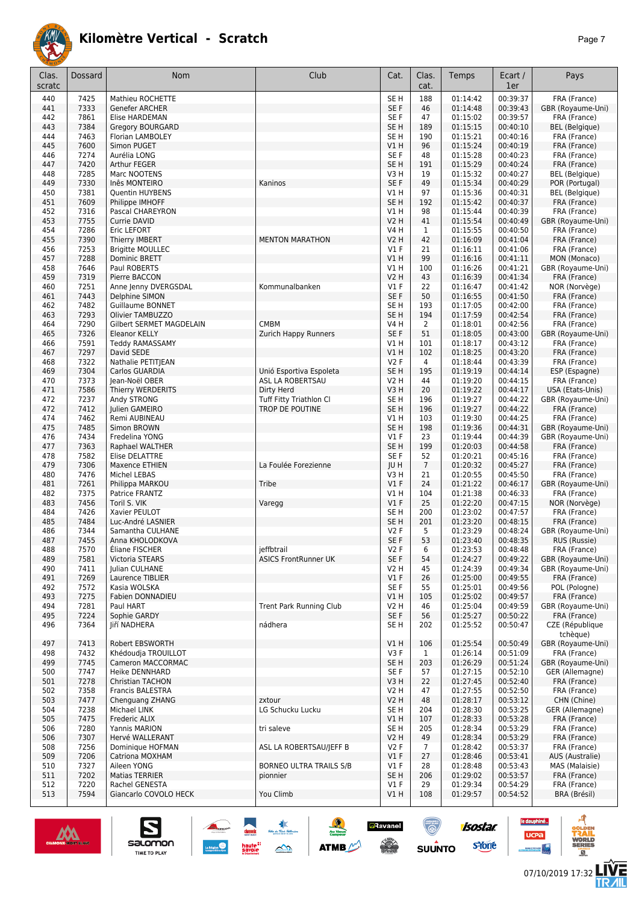

| Clas.<br>scratc | Dossard      | Nom                                      | Club                           | Cat.                               | Clas.<br>cat.  | Temps                | Ecart /<br>1er       | Pays                                  |
|-----------------|--------------|------------------------------------------|--------------------------------|------------------------------------|----------------|----------------------|----------------------|---------------------------------------|
| 440             | 7425         | Mathieu ROCHETTE                         |                                | SE <sub>H</sub>                    | 188            | 01:14:42             | 00:39:37             | FRA (France)                          |
| 441             | 7333         | Genefer ARCHER                           |                                | SE F                               | 46             | 01:14:48             | 00:39:43             | GBR (Royaume-Uni)                     |
| 442             | 7861         | Elise HARDEMAN                           |                                | SE F                               | 47             | 01:15:02             | 00:39:57             | FRA (France)                          |
| 443             | 7384         | <b>Gregory BOURGARD</b>                  |                                | SE <sub>H</sub>                    | 189            | 01:15:15             | 00:40:10             | <b>BEL</b> (Belgique)                 |
| 444             | 7463         | Florian LAMBOLEY                         |                                | SE <sub>H</sub>                    | 190            | 01:15:21             | 00:40:16             | FRA (France)                          |
| 445             | 7600         | Simon PUGET                              |                                | VIH                                | 96             | 01:15:24             | 00:40:19             | FRA (France)                          |
| 446<br>447      | 7274<br>7420 | Aurélia LONG<br>Arthur FEGER             |                                | SE F<br>SE <sub>H</sub>            | 48<br>191      | 01:15:28<br>01:15:29 | 00:40:23<br>00:40:24 | FRA (France)                          |
| 448             | 7285         | Marc NOOTENS                             |                                | V3H                                | 19             | 01:15:32             | 00:40:27             | FRA (France)<br><b>BEL</b> (Belgique) |
| 449             | 7330         | Inês MONTEIRO                            | Kaninos                        | SE F                               | 49             | 01:15:34             | 00:40:29             | POR (Portugal)                        |
| 450             | 7381         | Quentin HUYBENS                          |                                | V1H                                | 97             | 01:15:36             | 00:40:31             | <b>BEL</b> (Belgique)                 |
| 451             | 7609         | Philippe IMHOFF                          |                                | SE <sub>H</sub>                    | 192            | 01:15:42             | 00:40:37             | FRA (France)                          |
| 452             | 7316         | Pascal CHAREYRON                         |                                | V1H                                | 98             | 01:15:44             | 00:40:39             | FRA (France)                          |
| 453             | 7755         | Currie DAVID                             |                                | <b>V2 H</b>                        | 41             | 01:15:54             | 00:40:49             | GBR (Royaume-Uni)                     |
| 454             | 7286         | Eric LEFORT                              |                                | <b>V4 H</b>                        | $\mathbf{1}$   | 01:15:55             | 00:40:50             | FRA (France)                          |
| 455             | 7390         | Thierry IMBERT                           | <b>MENTON MARATHON</b>         | <b>V2 H</b>                        | 42             | 01:16:09             | 00:41:04             | FRA (France)                          |
| 456<br>457      | 7253<br>7288 | <b>Brigitte MOULLEC</b><br>Dominic BRETT |                                | $VI$ F<br>V1 H                     | 21<br>99       | 01:16:11<br>01:16:16 | 00:41:06<br>00:41:11 | FRA (France)<br>MON (Monaco)          |
| 458             | 7646         | Paul ROBERTS                             |                                | V1H                                | 100            | 01:16:26             | 00:41:21             | GBR (Royaume-Uni)                     |
| 459             | 7319         | Pierre BACCON                            |                                | V2 H                               | 43             | 01:16:39             | 00:41:34             | FRA (France)                          |
| 460             | 7251         | Anne Jenny DVERGSDAL                     | Kommunalbanken                 | $VI$ F                             | 22             | 01:16:47             | 00:41:42             | NOR (Norvège)                         |
| 461             | 7443         | Delphine SIMON                           |                                | SE F                               | 50             | 01:16:55             | 00:41:50             | FRA (France)                          |
| 462             | 7482         | <b>Guillaume BONNET</b>                  |                                | SE <sub>H</sub>                    | 193            | 01:17:05             | 00:42:00             | FRA (France)                          |
| 463             | 7293         | Olivier TAMBUZZO                         |                                | SE <sub>H</sub>                    | 194            | 01:17:59             | 00:42:54             | FRA (France)                          |
| 464             | 7290         | <b>Gilbert SERMET MAGDELAIN</b>          | <b>CMBM</b>                    | V4 H                               | 2              | 01:18:01             | 00:42:56             | FRA (France)                          |
| 465             | 7326         | <b>Eleanor KELLY</b>                     | <b>Zurich Happy Runners</b>    | SE F                               | 51             | 01:18:05             | 00:43:00             | GBR (Royaume-Uni)                     |
| 466             | 7591<br>7297 | <b>Teddy RAMASSAMY</b>                   |                                | V1H<br>V1H                         | 101<br>102     | 01:18:17<br>01:18:25 | 00:43:12<br>00:43:20 | FRA (France)<br>FRA (France)          |
| 467<br>468      | 7322         | David SEDE<br>Nathalie PETITJEAN         |                                | V2F                                | 4              | 01:18:44             | 00:43:39             | FRA (France)                          |
| 469             | 7304         | Carlos GUARDIA                           | Unió Esportiva Espoleta        | SE <sub>H</sub>                    | 195            | 01:19:19             | 00:44:14             | ESP (Espagne)                         |
| 470             | 7373         | Jean-Noël OBER                           | ASL LA ROBERTSAU               | V2 H                               | 44             | 01:19:20             | 00:44:15             | FRA (France)                          |
| 471             | 7586         | Thierry WERDERITS                        | Dirty Herd                     | V3H                                | 20             | 01:19:22             | 00:44:17             | USA (Etats-Unis)                      |
| 472             | 7237         | Andy STRONG                              | <b>Tuff Fitty Triathlon Cl</b> | SE H                               | 196            | 01:19:27             | 00:44:22             | GBR (Royaume-Uni)                     |
| 472             | 7412         | Julien GAMEIRO                           | TROP DE POUTINE                | SE <sub>H</sub>                    | 196            | 01:19:27             | 00:44:22             | FRA (France)                          |
| 474             | 7462         | Remi AUBINEAU                            |                                | V1H                                | 103            | 01:19:30             | 00:44:25             | FRA (France)                          |
| 475             | 7485         | Simon BROWN                              |                                | SE <sub>H</sub>                    | 198            | 01:19:36             | 00:44:31             | GBR (Royaume-Uni)                     |
| 476             | 7434         | Fredelina YONG                           |                                | $VI$ F                             | 23             | 01:19:44             | 00:44:39<br>00:44:58 | GBR (Royaume-Uni)                     |
| 477<br>478      | 7363<br>7582 | Raphael WALTHER<br>Elise DELATTRE        |                                | SE <sub>H</sub><br>SE <sub>F</sub> | 199<br>52      | 01:20:03<br>01:20:21 | 00:45:16             | FRA (France)<br>FRA (France)          |
| 479             | 7306         | Maxence ETHIEN                           | La Foulée Forezienne           | JU H                               | $\overline{7}$ | 01:20:32             | 00:45:27             | FRA (France)                          |
| 480             | 7476         | Michel LEBAS                             |                                | V3H                                | 21             | 01:20:55             | 00:45:50             | FRA (France)                          |
| 481             | 7261         | Philippa MARKOU                          | Tribe                          | $VI$ F                             | 24             | 01:21:22             | 00:46:17             | GBR (Royaume-Uni)                     |
| 482             | 7375         | Patrice FRANTZ                           |                                | V1H                                | 104            | 01:21:38             | 00:46:33             | FRA (France)                          |
| 483             | 7456         | Toril S. VIK                             | Varegg                         | $VI$ F                             | 25             | 01:22:20             | 00:47:15             | NOR (Norvège)                         |
| 484             | 7426         | Xavier PEULOT                            |                                | SE H                               | 200            | 01:23:02             | 00:47:57             | FRA (France)                          |
| 485             | 7484         | Luc-André LASNIER                        |                                | SE H                               | 201            | 01:23:20             | 00:48:15             | FRA (France)                          |
| 486<br>487      | 7344<br>7455 | Samantha CULHANE<br>Anna KHOLODKOVA      |                                | V2F<br>SE <sub>F</sub>             | 5<br>53        | 01:23:29<br>01:23:40 | 00:48:24<br>00:48:35 | GBR (Royaume-Uni)<br>RUS (Russie)     |
| 488             | 1510         | Eliane FISCHER                           | jeffbtrail                     | V2 F                               | 6              | 01:23:53             | 00:48:48             | FRA (France)                          |
| 489             | 7581         | Victoria STEARS                          | <b>ASICS FrontRunner UK</b>    | SE F                               | 54             | 01:24:27             | 00:49:22             | GBR (Royaume-Uni)                     |
| 490             | 7411         | Julian CULHANE                           |                                | <b>V2 H</b>                        | 45             | 01:24:39             | 00:49:34             | GBR (Royaume-Uni)                     |
| 491             | 7269         | Laurence TIBLIER                         |                                | V1F                                | 26             | 01:25:00             | 00:49:55             | FRA (France)                          |
| 492             | 7572         | Kasia WOLSKA                             |                                | SE F                               | 55             | 01:25:01             | 00:49:56             | POL (Pologne)                         |
| 493             | 7275         | Fabien DONNADIEU                         |                                | VIH                                | 105            | 01:25:02             | 00:49:57             | FRA (France)                          |
| 494             | 7281         | Paul HART                                | Trent Park Running Club        | V2 H                               | 46             | 01:25:04             | 00:49:59             | GBR (Royaume-Uni)                     |
| 495             | 7224         | Sophie GARDY                             |                                | SE F                               | 56             | 01:25:27             | 00:50:22             | FRA (France)                          |
| 496             | 7364         | Jiří NADHERA                             | nádhera                        | SE H                               | 202            | 01:25:52             | 00:50:47             | CZE (République<br>tchèque)           |
| 497             | 7413         | Robert EBSWORTH                          |                                | V1H                                | 106            | 01:25:54             | 00:50:49             | GBR (Royaume-Uni)                     |
| 498             | 7432         | Khédoudja TROUILLOT                      |                                | V3F                                | $\mathbf{1}$   | 01:26:14             | 00:51:09             | FRA (France)                          |
| 499             | 7745         | Cameron MACCORMAC                        |                                | SE <sub>H</sub>                    | 203            | 01:26:29             | 00:51:24             | GBR (Royaume-Uni)                     |
| 500             | 7747         | Heike DENNHARD                           |                                | SE F                               | 57             | 01:27:15             | 00:52:10             | GER (Allemagne)                       |
| 501             | 7278         | <b>Christian TACHON</b>                  |                                | V3H                                | 22             | 01:27:45             | 00:52:40             | FRA (France)                          |
| 502             | 7358         | Francis BALESTRA                         |                                | V2 H                               | 47             | 01:27:55             | 00:52:50             | FRA (France)                          |
| 503             | 7477         | Chenguang ZHANG                          | zxtour                         | V2H                                | 48             | 01:28:17             | 00:53:12             | CHN (Chine)                           |
| 504             | 7238         | Michael LINK                             | LG Schucku Lucku               | SE <sub>H</sub>                    | 204            | 01:28:30             | 00:53:25             | GER (Allemagne)                       |
| 505             | 7475         | Frederic ALIX                            |                                | VIH                                | 107            | 01:28:33             | 00:53:28             | FRA (France)                          |
| 506<br>506      | 7280<br>7307 | Yannis MARION<br>Hervé WALLERANT         | tri saleve                     | SE <sub>H</sub><br>V2H             | 205<br>49      | 01:28:34<br>01:28:34 | 00:53:29<br>00:53:29 | FRA (France)<br>FRA (France)          |
| 508             | 7256         | Dominique HOFMAN                         | ASL LA ROBERTSAU/JEFF B        | V2F                                | $\overline{7}$ | 01:28:42             | 00:53:37             | FRA (France)                          |
| 509             | 7206         | Catriona MOXHAM                          |                                | $VI$ F                             | 27             | 01:28:46             | 00:53:41             | AUS (Australie)                       |
| 510             | 7327         | Aileen YONG                              | <b>BORNEO ULTRA TRAILS S/B</b> | $VI$ F                             | 28             | 01:28:48             | 00:53:43             | MAS (Malaisie)                        |
| 511             | 7202         | <b>Matias TERRIER</b>                    | pionnier                       | SE <sub>H</sub>                    | 206            | 01:29:02             | 00:53:57             | FRA (France)                          |
| 512             | 7220         | Rachel GENESTA                           |                                | $VI$ F                             | 29             | 01:29:34             | 00:54:29             | FRA (France)                          |
| 513             | 7594         | Giancarlo COVOLO HECK                    | You Climb                      | V1H                                | 108            | 01:29:57             | 00:54:52             | BRA (Brésil)                          |

惠

 $\rightarrow$ 

 $\frac{1}{2}$ 

ATMB

**a**Ravanel

**SERVICE** 

 $\bigcirc$ 

 $su\overset{\bullet}{\mathsf{unro}}$ 



S

Salomon



**LIVE<br>TR***A***IL** 

le dauphiné...

**UCPa** 

- 4

**isostar** 

**s**Yone